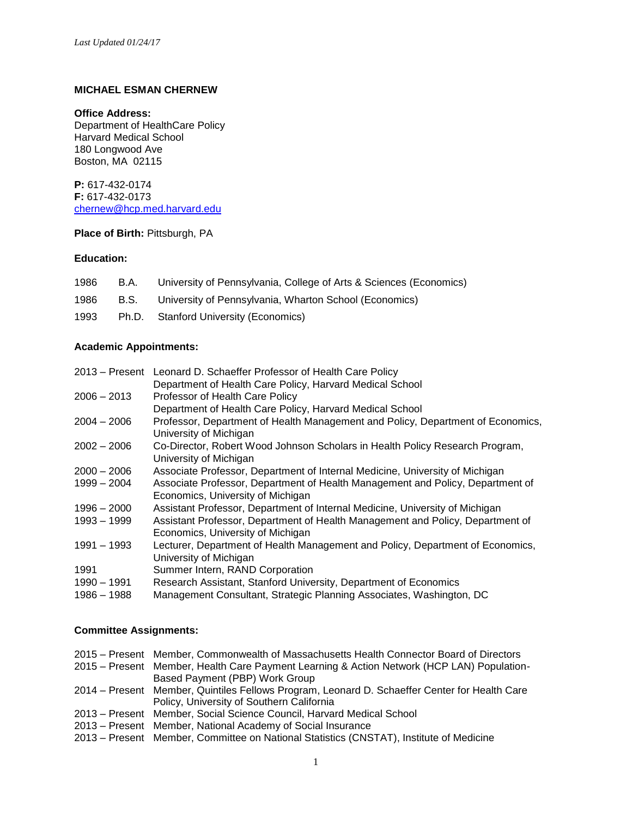## **MICHAEL ESMAN CHERNEW**

#### **Office Address:**

Department of HealthCare Policy Harvard Medical School 180 Longwood Ave Boston, MA 02115

**P:** 617-432-0174 **F:** 617-432-0173 [chernew@hcp.med.harvard.edu](mailto:chernew@hcp.med.harvard.edu) 

## **Place of Birth: Pittsburgh, PA**

# **Education:**

| 1986 | B.A. | University of Pennsylvania, College of Arts & Sciences (Economics) |
|------|------|--------------------------------------------------------------------|
| 1986 | B.S. | University of Pennsylvania, Wharton School (Economics)             |
| 1993 |      | Ph.D. Stanford University (Economics)                              |

## **Academic Appointments:**

| $2013 -$ Present | Leonard D. Schaeffer Professor of Health Care Policy                            |
|------------------|---------------------------------------------------------------------------------|
|                  | Department of Health Care Policy, Harvard Medical School                        |
| $2006 - 2013$    | Professor of Health Care Policy                                                 |
|                  | Department of Health Care Policy, Harvard Medical School                        |
| $2004 - 2006$    | Professor, Department of Health Management and Policy, Department of Economics, |
|                  | University of Michigan                                                          |
| $2002 - 2006$    | Co-Director, Robert Wood Johnson Scholars in Health Policy Research Program,    |
|                  | University of Michigan                                                          |
| $2000 - 2006$    | Associate Professor, Department of Internal Medicine, University of Michigan    |
| $1999 - 2004$    | Associate Professor, Department of Health Management and Policy, Department of  |
|                  | Economics, University of Michigan                                               |
| $1996 - 2000$    | Assistant Professor, Department of Internal Medicine, University of Michigan    |
| 1993 - 1999      | Assistant Professor, Department of Health Management and Policy, Department of  |
|                  | Economics, University of Michigan                                               |
| 1991 - 1993      | Lecturer, Department of Health Management and Policy, Department of Economics,  |
|                  | University of Michigan                                                          |
| 1991             | Summer Intern, RAND Corporation                                                 |
| 1990 - 1991      | Research Assistant, Stanford University, Department of Economics                |
| 1986 - 1988      | Management Consultant, Strategic Planning Associates, Washington, DC            |

### **Committee Assignments:**

| 2015 – Present Member, Commonwealth of Massachusetts Health Connector Board of Directors      |  |  |  |
|-----------------------------------------------------------------------------------------------|--|--|--|
| 2015 - Present Member, Health Care Payment Learning & Action Network (HCP LAN) Population-    |  |  |  |
| Based Payment (PBP) Work Group                                                                |  |  |  |
| 2014 – Present Member, Quintiles Fellows Program, Leonard D. Schaeffer Center for Health Care |  |  |  |
| Policy, University of Southern California                                                     |  |  |  |
| 2013 – Present Member, Social Science Council, Harvard Medical School                         |  |  |  |
| 2013 – Present Member, National Academy of Social Insurance                                   |  |  |  |
| 2013 – Present Member, Committee on National Statistics (CNSTAT), Institute of Medicine       |  |  |  |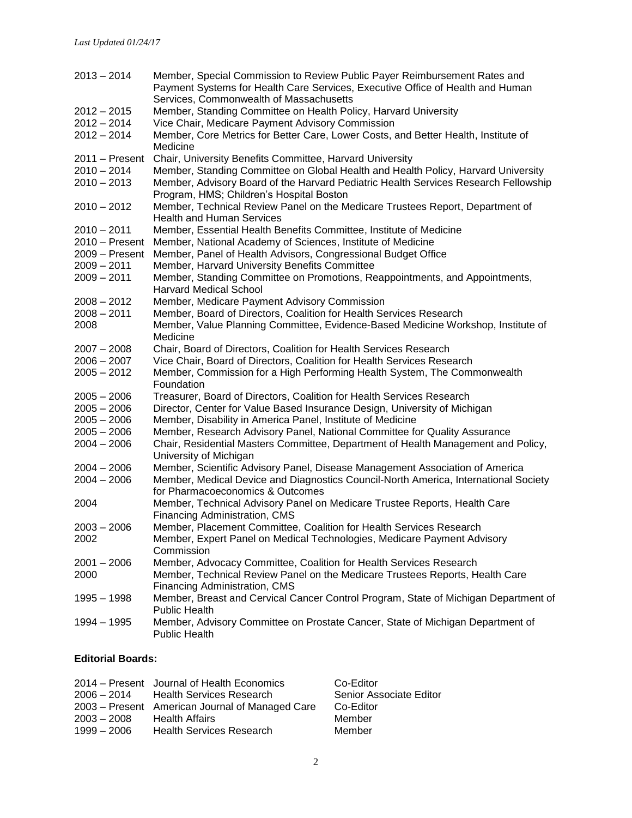| $2013 - 2014$                  | Member, Special Commission to Review Public Payer Reimbursement Rates and<br>Payment Systems for Health Care Services, Executive Office of Health and Human                                                          |
|--------------------------------|----------------------------------------------------------------------------------------------------------------------------------------------------------------------------------------------------------------------|
|                                | Services, Commonwealth of Massachusetts                                                                                                                                                                              |
| $2012 - 2015$                  | Member, Standing Committee on Health Policy, Harvard University                                                                                                                                                      |
| $2012 - 2014$                  | Vice Chair, Medicare Payment Advisory Commission                                                                                                                                                                     |
| $2012 - 2014$                  | Member, Core Metrics for Better Care, Lower Costs, and Better Health, Institute of<br>Medicine                                                                                                                       |
| 2011 – Present                 | Chair, University Benefits Committee, Harvard University                                                                                                                                                             |
| $2010 - 2014$<br>$2010 - 2013$ | Member, Standing Committee on Global Health and Health Policy, Harvard University<br>Member, Advisory Board of the Harvard Pediatric Health Services Research Fellowship<br>Program, HMS; Children's Hospital Boston |
| $2010 - 2012$                  | Member, Technical Review Panel on the Medicare Trustees Report, Department of<br><b>Health and Human Services</b>                                                                                                    |
| 2010 - 2011                    | Member, Essential Health Benefits Committee, Institute of Medicine                                                                                                                                                   |
| 2010 - Present                 | Member, National Academy of Sciences, Institute of Medicine                                                                                                                                                          |
| 2009 - Present                 | Member, Panel of Health Advisors, Congressional Budget Office                                                                                                                                                        |
| $2009 - 2011$                  | Member, Harvard University Benefits Committee                                                                                                                                                                        |
| $2009 - 2011$                  | Member, Standing Committee on Promotions, Reappointments, and Appointments,                                                                                                                                          |
|                                | <b>Harvard Medical School</b>                                                                                                                                                                                        |
| 2008 - 2012                    | Member, Medicare Payment Advisory Commission                                                                                                                                                                         |
| $2008 - 2011$                  | Member, Board of Directors, Coalition for Health Services Research                                                                                                                                                   |
| 2008                           | Member, Value Planning Committee, Evidence-Based Medicine Workshop, Institute of                                                                                                                                     |
|                                | Medicine                                                                                                                                                                                                             |
| $2007 - 2008$                  | Chair, Board of Directors, Coalition for Health Services Research                                                                                                                                                    |
| $2006 - 2007$                  | Vice Chair, Board of Directors, Coalition for Health Services Research                                                                                                                                               |
| $2005 - 2012$                  | Member, Commission for a High Performing Health System, The Commonwealth<br>Foundation                                                                                                                               |
| $2005 - 2006$                  | Treasurer, Board of Directors, Coalition for Health Services Research                                                                                                                                                |
| $2005 - 2006$                  | Director, Center for Value Based Insurance Design, University of Michigan                                                                                                                                            |
| $2005 - 2006$                  | Member, Disability in America Panel, Institute of Medicine                                                                                                                                                           |
| $2005 - 2006$                  | Member, Research Advisory Panel, National Committee for Quality Assurance                                                                                                                                            |
| $2004 - 2006$                  | Chair, Residential Masters Committee, Department of Health Management and Policy,<br>University of Michigan                                                                                                          |
| $2004 - 2006$                  | Member, Scientific Advisory Panel, Disease Management Association of America                                                                                                                                         |
| $2004 - 2006$                  | Member, Medical Device and Diagnostics Council-North America, International Society<br>for Pharmacoeconomics & Outcomes                                                                                              |
| 2004                           | Member, Technical Advisory Panel on Medicare Trustee Reports, Health Care<br>Financing Administration, CMS                                                                                                           |
| $2003 - 2006$                  | Member, Placement Committee, Coalition for Health Services Research                                                                                                                                                  |
| 2002                           | Member, Expert Panel on Medical Technologies, Medicare Payment Advisory                                                                                                                                              |
|                                | Commission                                                                                                                                                                                                           |
| $2001 - 2006$                  | Member, Advocacy Committee, Coalition for Health Services Research                                                                                                                                                   |
| 2000                           | Member, Technical Review Panel on the Medicare Trustees Reports, Health Care                                                                                                                                         |
|                                | Financing Administration, CMS                                                                                                                                                                                        |
| $1995 - 1998$                  | Member, Breast and Cervical Cancer Control Program, State of Michigan Department of<br><b>Public Health</b>                                                                                                          |
| 1994 - 1995                    | Member, Advisory Committee on Prostate Cancer, State of Michigan Department of<br><b>Public Health</b>                                                                                                               |

#### **Editorial Boards:**

| $2003 - 2008$ | 2014 – Present Journal of Health Economics<br>2006 – 2014 Health Services Research<br>2003 – Present American Journal of Managed Care<br><b>Health Affairs</b> | Co-Editor<br>Senior Associate Editor<br>Co-Editor<br>Member |
|---------------|----------------------------------------------------------------------------------------------------------------------------------------------------------------|-------------------------------------------------------------|
| $1999 - 2006$ | <b>Health Services Research</b>                                                                                                                                | Member                                                      |
|               |                                                                                                                                                                |                                                             |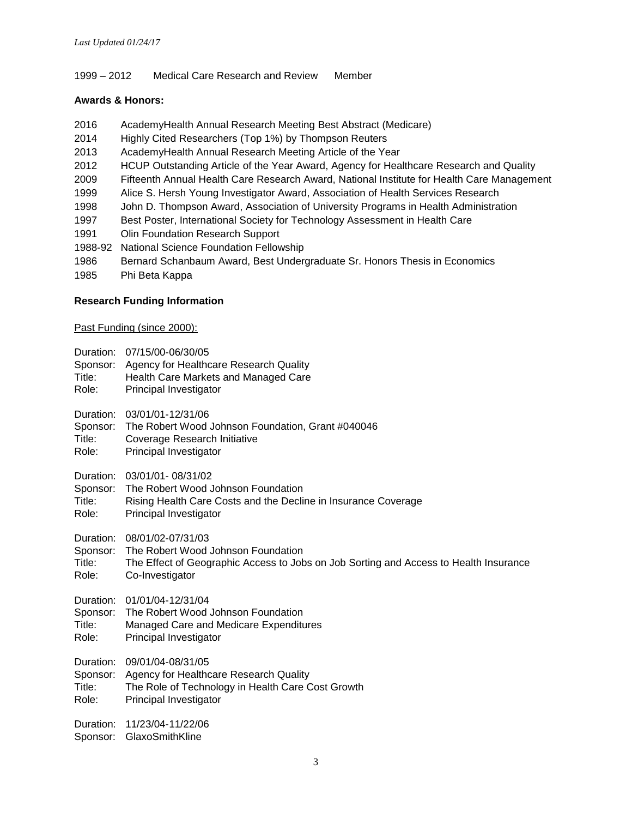#### 1999 – 2012 Medical Care Research and Review Member

#### **Awards & Honors:**

- 2016 AcademyHealth Annual Research Meeting Best Abstract (Medicare)
- 2014 Highly Cited Researchers (Top 1%) by Thompson Reuters
- 2013 AcademyHealth Annual Research Meeting Article of the Year
- 2012 HCUP Outstanding Article of the Year Award, Agency for Healthcare Research and Quality
- 2009 Fifteenth Annual Health Care Research Award, National Institute for Health Care Management
- 1999 Alice S. Hersh Young Investigator Award, Association of Health Services Research
- 1998 John D. Thompson Award, Association of University Programs in Health Administration
- 1997 Best Poster, International Society for Technology Assessment in Health Care
- 1991 Olin Foundation Research Support
- 1988-92 National Science Foundation Fellowship
- 1986 Bernard Schanbaum Award, Best Undergraduate Sr. Honors Thesis in Economics
- 1985 Phi Beta Kappa

## **Research Funding Information**

Past Funding (since 2000):

- Duration: 07/15/00-06/30/05
- Sponsor: Agency for Healthcare Research Quality
- Title: Health Care Markets and Managed Care
- Role: Principal Investigator
- Duration: 03/01/01-12/31/06
- Sponsor: The Robert Wood Johnson Foundation, Grant #040046
- Title: Coverage Research Initiative
- Role: Principal Investigator
- Duration: 03/01/01- 08/31/02
- Sponsor: The Robert Wood Johnson Foundation
- Title: Rising Health Care Costs and the Decline in Insurance Coverage
- Role: Principal Investigator

Duration: 08/01/02-07/31/03

- Sponsor: The Robert Wood Johnson Foundation
- Title: The Effect of Geographic Access to Jobs on Job Sorting and Access to Health Insurance Role: Co-Investigator
- Duration: 01/01/04-12/31/04
- Sponsor: The Robert Wood Johnson Foundation
- Title: Managed Care and Medicare Expenditures
- Role: Principal Investigator

Duration: 09/01/04-08/31/05

Sponsor: Agency for Healthcare Research Quality

Title: The Role of Technology in Health Care Cost Growth

Role: Principal Investigator

Duration: 11/23/04-11/22/06

Sponsor: GlaxoSmithKline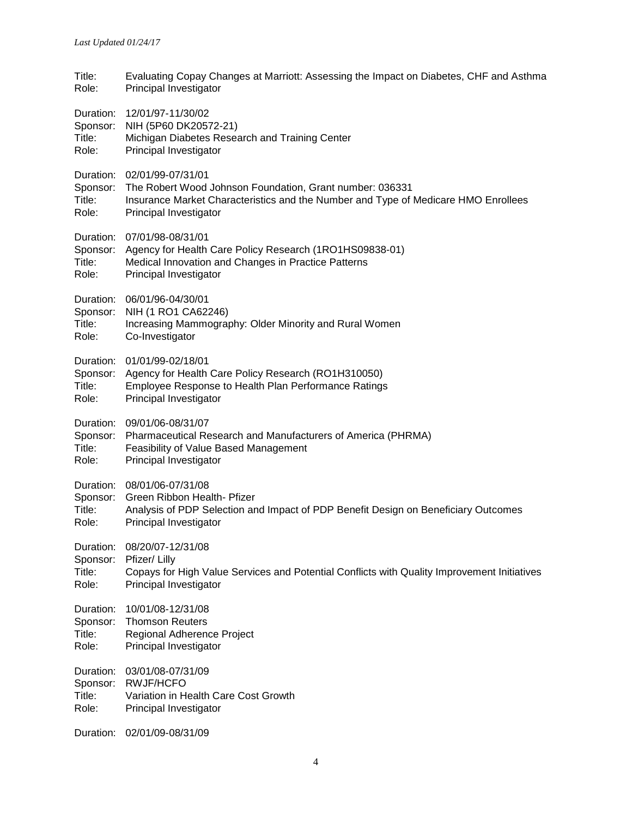| Title:<br>Role:                          | Evaluating Copay Changes at Marriott: Assessing the Impact on Diabetes, CHF and Asthma<br><b>Principal Investigator</b>                                                                                 |
|------------------------------------------|---------------------------------------------------------------------------------------------------------------------------------------------------------------------------------------------------------|
| Sponsor:<br>Title:<br>Role:              | Duration: 12/01/97-11/30/02<br>NIH (5P60 DK20572-21)<br>Michigan Diabetes Research and Training Center<br>Principal Investigator                                                                        |
| Sponsor:<br>Title:<br>Role:              | Duration: 02/01/99-07/31/01<br>The Robert Wood Johnson Foundation, Grant number: 036331<br>Insurance Market Characteristics and the Number and Type of Medicare HMO Enrollees<br>Principal Investigator |
| Sponsor:<br>Title:<br>Role:              | Duration: 07/01/98-08/31/01<br>Agency for Health Care Policy Research (1RO1HS09838-01)<br>Medical Innovation and Changes in Practice Patterns<br>Principal Investigator                                 |
| Sponsor:<br>Title:<br>Role:              | Duration: 06/01/96-04/30/01<br>NIH (1 RO1 CA62246)<br>Increasing Mammography: Older Minority and Rural Women<br>Co-Investigator                                                                         |
| Title:<br>Role:                          | Duration: 01/01/99-02/18/01<br>Sponsor: Agency for Health Care Policy Research (RO1H310050)<br>Employee Response to Health Plan Performance Ratings<br>Principal Investigator                           |
| Sponsor:<br>Title:<br>Role:              | Duration: 09/01/06-08/31/07<br>Pharmaceutical Research and Manufacturers of America (PHRMA)<br>Feasibility of Value Based Management<br>Principal Investigator                                          |
| Sponsor:<br>Title:<br>Role:              | Duration: 08/01/06-07/31/08<br>Green Ribbon Health- Pfizer<br>Analysis of PDP Selection and Impact of PDP Benefit Design on Beneficiary Outcomes<br>Principal Investigator                              |
| Duration:<br>Sponsor:<br>Title:<br>Role: | 08/20/07-12/31/08<br>Pfizer/ Lilly<br>Copays for High Value Services and Potential Conflicts with Quality Improvement Initiatives<br>Principal Investigator                                             |
| Duration:<br>Sponsor:<br>Title:<br>Role: | 10/01/08-12/31/08<br><b>Thomson Reuters</b><br>Regional Adherence Project<br>Principal Investigator                                                                                                     |
| Duration:<br>Sponsor:<br>Title:<br>Role: | 03/01/08-07/31/09<br><b>RWJF/HCFO</b><br>Variation in Health Care Cost Growth<br>Principal Investigator                                                                                                 |

Duration: 02/01/09-08/31/09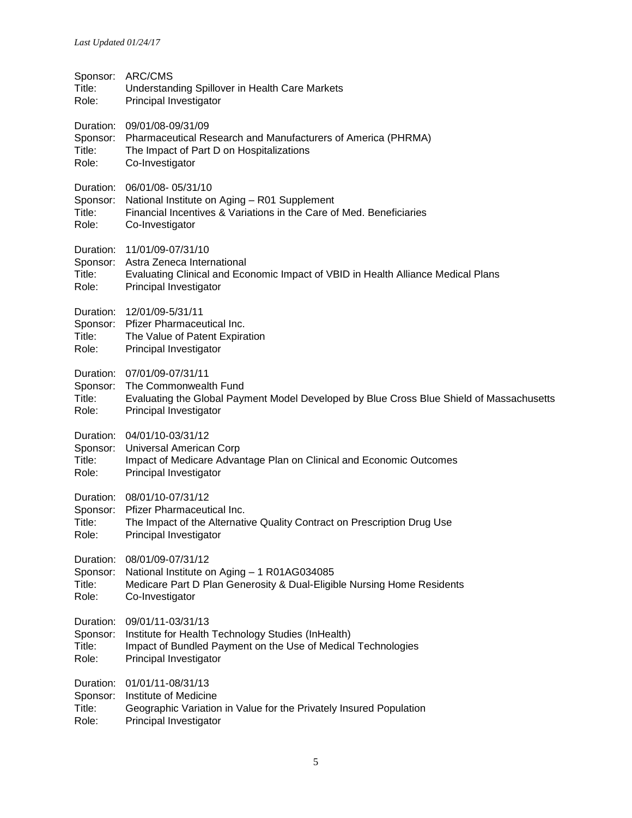| Sponsor:<br>Title:<br>Role:              | ARC/CMS<br>Understanding Spillover in Health Care Markets<br>Principal Investigator                                                                                        |
|------------------------------------------|----------------------------------------------------------------------------------------------------------------------------------------------------------------------------|
| Sponsor:<br>Title:<br>Role:              | Duration: 09/01/08-09/31/09<br>Pharmaceutical Research and Manufacturers of America (PHRMA)<br>The Impact of Part D on Hospitalizations<br>Co-Investigator                 |
| Sponsor:<br>Title:<br>Role:              | Duration: 06/01/08-05/31/10<br>National Institute on Aging - R01 Supplement<br>Financial Incentives & Variations in the Care of Med. Beneficiaries<br>Co-Investigator      |
| Sponsor:<br>Title:<br>Role:              | Duration: 11/01/09-07/31/10<br>Astra Zeneca International<br>Evaluating Clinical and Economic Impact of VBID in Health Alliance Medical Plans<br>Principal Investigator    |
| Sponsor:<br>Title:<br>Role:              | Duration: 12/01/09-5/31/11<br><b>Pfizer Pharmaceutical Inc.</b><br>The Value of Patent Expiration<br>Principal Investigator                                                |
| Sponsor:<br>Title:<br>Role:              | Duration: 07/01/09-07/31/11<br>The Commonwealth Fund<br>Evaluating the Global Payment Model Developed by Blue Cross Blue Shield of Massachusetts<br>Principal Investigator |
| Sponsor:<br>Title:<br>Role:              | Duration: 04/01/10-03/31/12<br>Universal American Corp<br>Impact of Medicare Advantage Plan on Clinical and Economic Outcomes<br>Principal Investigator                    |
| Sponsor:<br>Title:<br>Role:              | Duration: 08/01/10-07/31/12<br>Pfizer Pharmaceutical Inc.<br>The Impact of the Alternative Quality Contract on Prescription Drug Use<br>Principal Investigator             |
| Duration:<br>Sponsor:<br>Title:<br>Role: | 08/01/09-07/31/12<br>National Institute on Aging - 1 R01AG034085<br>Medicare Part D Plan Generosity & Dual-Eligible Nursing Home Residents<br>Co-Investigator              |
| Duration:<br>Sponsor:<br>Title:<br>Role: | 09/01/11-03/31/13<br>Institute for Health Technology Studies (InHealth)<br>Impact of Bundled Payment on the Use of Medical Technologies<br>Principal Investigator          |
| Duration:<br>Sponsor:<br>Title:<br>Role: | 01/01/11-08/31/13<br>Institute of Medicine<br>Geographic Variation in Value for the Privately Insured Population<br>Principal Investigator                                 |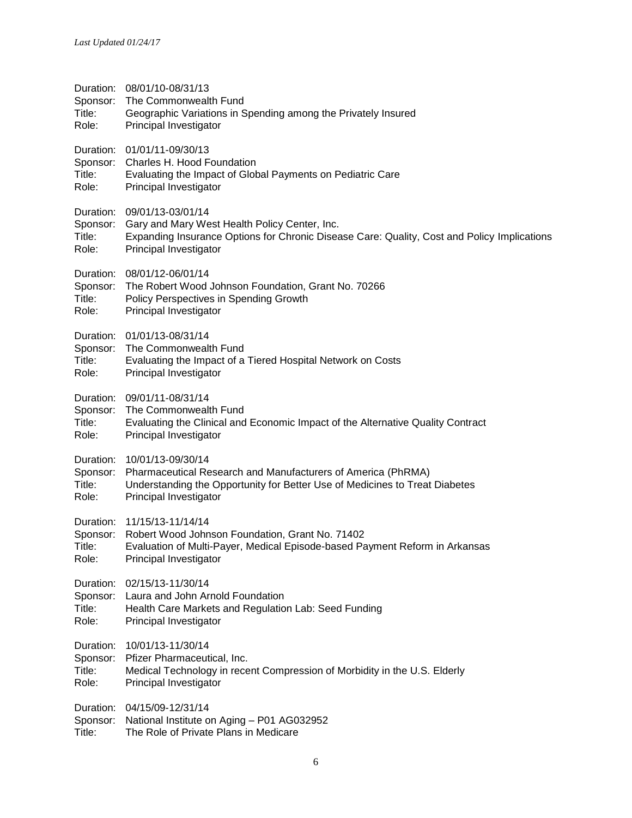| Title:<br>Role:                          | Duration: 08/01/10-08/31/13<br>Sponsor: The Commonwealth Fund<br>Geographic Variations in Spending among the Privately Insured<br>Principal Investigator                                              |
|------------------------------------------|-------------------------------------------------------------------------------------------------------------------------------------------------------------------------------------------------------|
| Title:<br>Role:                          | Duration: 01/01/11-09/30/13<br>Sponsor: Charles H. Hood Foundation<br>Evaluating the Impact of Global Payments on Pediatric Care<br>Principal Investigator                                            |
| Sponsor:<br>Title:<br>Role:              | Duration: 09/01/13-03/01/14<br>Gary and Mary West Health Policy Center, Inc.<br>Expanding Insurance Options for Chronic Disease Care: Quality, Cost and Policy Implications<br>Principal Investigator |
| Sponsor:<br>Title:<br>Role:              | Duration: 08/01/12-06/01/14<br>The Robert Wood Johnson Foundation, Grant No. 70266<br>Policy Perspectives in Spending Growth<br>Principal Investigator                                                |
| Title:<br>Role:                          | Duration: 01/01/13-08/31/14<br>Sponsor: The Commonwealth Fund<br>Evaluating the Impact of a Tiered Hospital Network on Costs<br>Principal Investigator                                                |
| Sponsor:<br>Title:<br>Role:              | Duration: 09/01/11-08/31/14<br>The Commonwealth Fund<br>Evaluating the Clinical and Economic Impact of the Alternative Quality Contract<br>Principal Investigator                                     |
| Sponsor:<br>Title:<br>Role:              | Duration: 10/01/13-09/30/14<br>Pharmaceutical Research and Manufacturers of America (PhRMA)<br>Understanding the Opportunity for Better Use of Medicines to Treat Diabetes<br>Principal Investigator  |
| Duration:<br>Title:<br>Role:             | 11/15/13-11/14/14<br>Sponsor: Robert Wood Johnson Foundation, Grant No. 71402<br>Evaluation of Multi-Payer, Medical Episode-based Payment Reform in Arkansas<br>Principal Investigator                |
| Sponsor:<br>Title:<br>Role:              | Duration: 02/15/13-11/30/14<br>Laura and John Arnold Foundation<br>Health Care Markets and Regulation Lab: Seed Funding<br>Principal Investigator                                                     |
| Duration:<br>Sponsor:<br>Title:<br>Role: | 10/01/13-11/30/14<br>Pfizer Pharmaceutical, Inc.<br>Medical Technology in recent Compression of Morbidity in the U.S. Elderly<br>Principal Investigator                                               |
|                                          | Duration: 04/15/09-12/31/14<br>Sponsor: National Institute on Aging - P01 AG032952                                                                                                                    |

Title: The Role of Private Plans in Medicare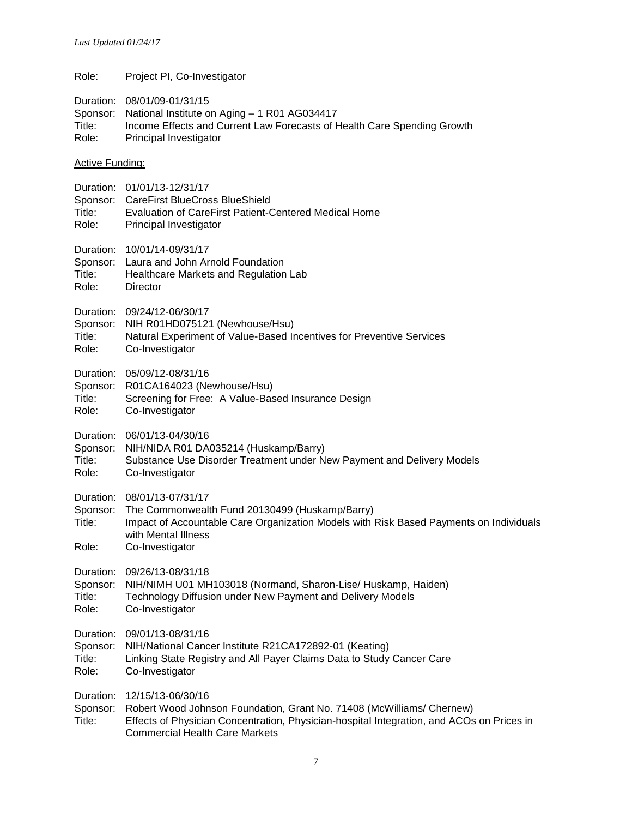Role: Project PI, Co-Investigator

- Duration: 08/01/09-01/31/15
- Sponsor: National Institute on Aging 1 R01 AG034417 Title: Income Effects and Current Law Forecasts of Health Care Spending Growth Role: Principal Investigator

#### Active Funding:

- Duration: 01/01/13-12/31/17
- Sponsor: CareFirst BlueCross BlueShield
- Title: Evaluation of CareFirst Patient-Centered Medical Home
- Role: Principal Investigator
- Duration: 10/01/14-09/31/17
- Sponsor: Laura and John Arnold Foundation
- Title: Healthcare Markets and Regulation Lab
- Role: Director

Duration: 09/24/12-06/30/17

Sponsor: NIH R01HD075121 (Newhouse/Hsu)

- Title: Natural Experiment of Value-Based Incentives for Preventive Services
- Role: Co-Investigator
- Duration: 05/09/12-08/31/16
- Sponsor: R01CA164023 (Newhouse/Hsu)
- Title: Screening for Free: A Value-Based Insurance Design
- Role: Co-Investigator

Duration: 06/01/13-04/30/16

- Sponsor: NIH/NIDA R01 DA035214 (Huskamp/Barry)
- Title: Substance Use Disorder Treatment under New Payment and Delivery Models Role: Co-Investigator

Duration: 08/01/13-07/31/17

- Sponsor: The Commonwealth Fund 20130499 (Huskamp/Barry)
- Title: Impact of Accountable Care Organization Models with Risk Based Payments on Individuals with Mental Illness
- Role: Co-Investigator

Duration: 09/26/13-08/31/18

- Sponsor: NIH/NIMH U01 MH103018 (Normand, Sharon-Lise/ Huskamp, Haiden)
- Title: Technology Diffusion under New Payment and Delivery Models
- Role: Co-Investigator

Duration: 09/01/13-08/31/16

- Sponsor: NIH/National Cancer Institute R21CA172892-01 (Keating)
- Title: Linking State Registry and All Payer Claims Data to Study Cancer Care Role: Co-Investigator

Duration: 12/15/13-06/30/16

Sponsor: Robert Wood Johnson Foundation, Grant No. 71408 (McWilliams/ Chernew)

Title: Effects of Physician Concentration, Physician-hospital Integration, and ACOs on Prices in Commercial Health Care Markets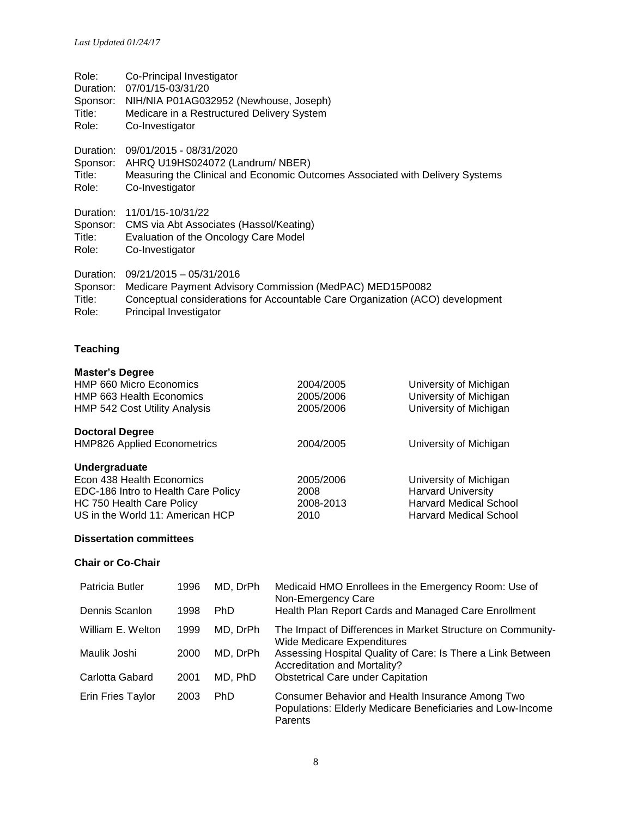| Role:     | Co-Principal Investigator                                                     |
|-----------|-------------------------------------------------------------------------------|
| Duration: | 07/01/15-03/31/20                                                             |
| Sponsor:  | NIH/NIA P01AG032952 (Newhouse, Joseph)                                        |
| Title:    | Medicare in a Restructured Delivery System                                    |
| Role:     | Co-Investigator                                                               |
| Duration: | 09/01/2015 - 08/31/2020                                                       |
| Sponsor:  | AHRQ U19HS024072 (Landrum/ NBER)                                              |
| Title:    | Measuring the Clinical and Economic Outcomes Associated with Delivery Systems |
| Role:     | Co-Investigator                                                               |
| Duration: | 11/01/15-10/31/22                                                             |
| Sponsor:  | CMS via Abt Associates (Hassol/Keating)                                       |
| Title:    | Evaluation of the Oncology Care Model                                         |
| Role:     | Co-Investigator                                                               |
| Duration: | $09/21/2015 - 05/31/2016$                                                     |
| Sponsor:  | Medicare Payment Advisory Commission (MedPAC) MED15P0082                      |
| Title:    | Conceptual considerations for Accountable Care Organization (ACO) development |
| Role:     | Principal Investigator                                                        |

# **Teaching**

| 2004/2005 | University of Michigan        |
|-----------|-------------------------------|
| 2005/2006 | University of Michigan        |
| 2005/2006 | University of Michigan        |
|           |                               |
| 2004/2005 | University of Michigan        |
|           |                               |
| 2005/2006 | University of Michigan        |
| 2008      | <b>Harvard University</b>     |
| 2008-2013 | <b>Harvard Medical School</b> |
| 2010      | <b>Harvard Medical School</b> |
|           |                               |

# **Dissertation committees**

# **Chair or Co-Chair**

| Patricia Butler   | 1996 | MD, DrPh | Medicaid HMO Enrollees in the Emergency Room: Use of<br>Non-Emergency Care                                                |
|-------------------|------|----------|---------------------------------------------------------------------------------------------------------------------------|
| Dennis Scanlon    | 1998 | PhD      | Health Plan Report Cards and Managed Care Enrollment                                                                      |
| William E. Welton | 1999 | MD, DrPh | The Impact of Differences in Market Structure on Community-<br><b>Wide Medicare Expenditures</b>                          |
| Maulik Joshi      | 2000 | MD, DrPh | Assessing Hospital Quality of Care: Is There a Link Between<br><b>Accreditation and Mortality?</b>                        |
| Carlotta Gabard   | 2001 | MD, PhD  | <b>Obstetrical Care under Capitation</b>                                                                                  |
| Erin Fries Taylor | 2003 | PhD      | Consumer Behavior and Health Insurance Among Two<br>Populations: Elderly Medicare Beneficiaries and Low-Income<br>Parents |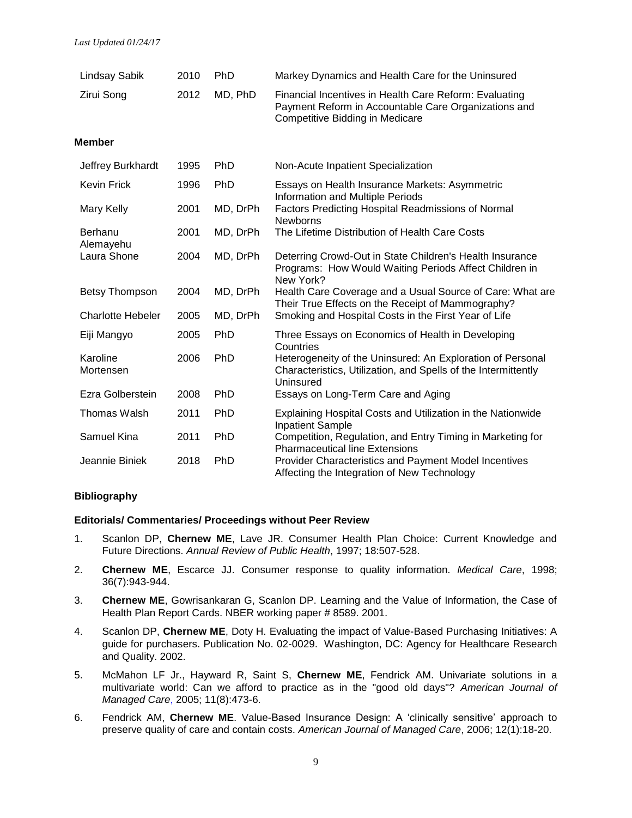| <b>Lindsay Sabik</b>     | 2010 | <b>PhD</b> | Markey Dynamics and Health Care for the Uninsured                                                                                                 |
|--------------------------|------|------------|---------------------------------------------------------------------------------------------------------------------------------------------------|
| Zirui Song               | 2012 | MD, PhD    | Financial Incentives in Health Care Reform: Evaluating<br>Payment Reform in Accountable Care Organizations and<br>Competitive Bidding in Medicare |
| Member                   |      |            |                                                                                                                                                   |
| Jeffrey Burkhardt        | 1995 | <b>PhD</b> | Non-Acute Inpatient Specialization                                                                                                                |
| <b>Kevin Frick</b>       | 1996 | PhD        | Essays on Health Insurance Markets: Asymmetric<br>Information and Multiple Periods                                                                |
| Mary Kelly               | 2001 | MD, DrPh   | Factors Predicting Hospital Readmissions of Normal<br><b>Newborns</b>                                                                             |
| Berhanu<br>Alemayehu     | 2001 | MD, DrPh   | The Lifetime Distribution of Health Care Costs                                                                                                    |
| Laura Shone              | 2004 | MD, DrPh   | Deterring Crowd-Out in State Children's Health Insurance<br>Programs: How Would Waiting Periods Affect Children in<br>New York?                   |
| Betsy Thompson           | 2004 | MD, DrPh   | Health Care Coverage and a Usual Source of Care: What are<br>Their True Effects on the Receipt of Mammography?                                    |
| <b>Charlotte Hebeler</b> | 2005 | MD, DrPh   | Smoking and Hospital Costs in the First Year of Life                                                                                              |
| Eiji Mangyo              | 2005 | PhD        | Three Essays on Economics of Health in Developing<br>Countries                                                                                    |
| Karoline<br>Mortensen    | 2006 | <b>PhD</b> | Heterogeneity of the Uninsured: An Exploration of Personal<br>Characteristics, Utilization, and Spells of the Intermittently<br>Uninsured         |
| Ezra Golberstein         | 2008 | <b>PhD</b> | Essays on Long-Term Care and Aging                                                                                                                |
| Thomas Walsh             | 2011 | <b>PhD</b> | Explaining Hospital Costs and Utilization in the Nationwide<br><b>Inpatient Sample</b>                                                            |
| Samuel Kina              | 2011 | PhD        | Competition, Regulation, and Entry Timing in Marketing for<br><b>Pharmaceutical line Extensions</b>                                               |
| Jeannie Biniek           | 2018 | PhD        | Provider Characteristics and Payment Model Incentives<br>Affecting the Integration of New Technology                                              |

#### **Bibliography**

#### **Editorials/ Commentaries/ Proceedings without Peer Review**

- 1. Scanlon DP, **Chernew ME**, Lave JR. Consumer Health Plan Choice: Current Knowledge and Future Directions. *Annual Review of Public Health*, 1997; 18:507-528.
- 2. **Chernew ME**, Escarce JJ. Consumer response to quality information. *Medical Care*, 1998; 36(7):943-944.
- 3. **Chernew ME**, Gowrisankaran G, Scanlon DP. Learning and the Value of Information, the Case of Health Plan Report Cards. NBER working paper # 8589. 2001.
- 4. Scanlon DP, **Chernew ME**, Doty H. Evaluating the impact of Value-Based Purchasing Initiatives: A guide for purchasers. Publication No. 02-0029. Washington, DC: Agency for Healthcare Research and Quality. 2002.
- 5. McMahon LF Jr., Hayward R, Saint S, **Chernew ME**, Fendrick AM. Univariate solutions in a multivariate world: Can we afford to practice as in the "good old days"? *American Journal of Managed Care*, 2005; 11(8):473-6.
- 6. Fendrick AM, **Chernew ME**. Value-Based Insurance Design: A 'clinically sensitive' approach to preserve quality of care and contain costs. *American Journal of Managed Care*, 2006; 12(1):18-20.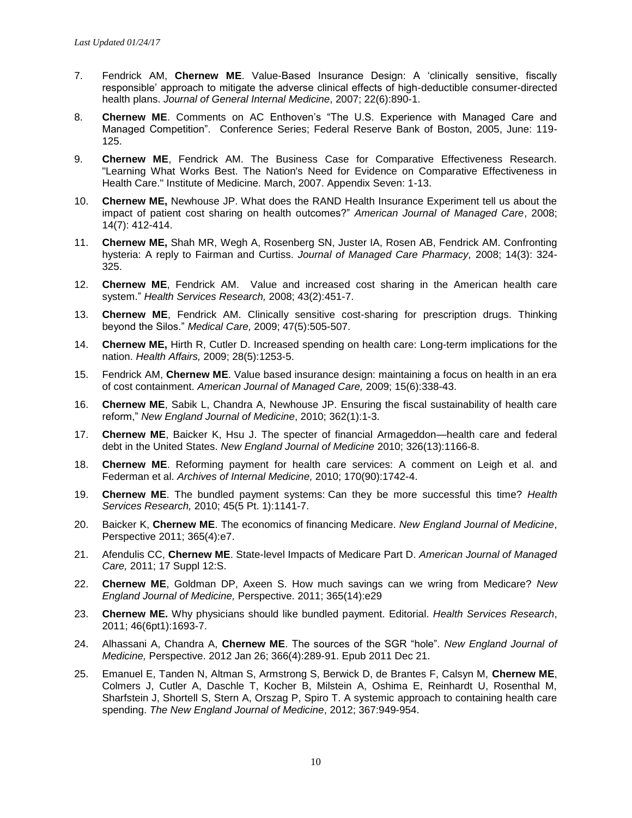- 7. Fendrick AM, **Chernew ME**. Value-Based Insurance Design: A 'clinically sensitive, fiscally responsible' approach to mitigate the adverse clinical effects of high-deductible consumer-directed health plans. *Journal of General Internal Medicine*, 2007; 22(6):890-1.
- 8. **Chernew ME**. Comments on AC Enthoven's "The U.S. Experience with Managed Care and Managed Competition". Conference Series; Federal Reserve Bank of Boston, 2005, June: 119- 125.
- 9. **Chernew ME**[, Fendrick AM. The Business Case for Comparative Effectiveness Research.](http://www.sph.umich.edu/vbidcenter/pdfs/IOM_Appendix7%20(2).pdf)  ["Learning What Works Best. The Nation's Need for Evidence on Comparative Effectiveness in](http://www.sph.umich.edu/vbidcenter/pdfs/IOM_Appendix7%20(2).pdf)  [Health Care." Institute of Medicine. March, 2007. Appendix Seven: 1-13.](http://www.sph.umich.edu/vbidcenter/pdfs/IOM_Appendix7%20(2).pdf)
- 10. **Chernew ME,** Newhouse JP. What does the RAND Health Insurance Experiment tell us about the impact of patient cost sharing on health outcomes?" *American Journal of Managed Care*, 2008; 14(7): 412-414.
- 11. **Chernew ME,** Shah MR, Wegh A, Rosenberg SN, Juster IA, Rosen AB, Fendrick AM. Confronting hysteria: A reply to Fairman and Curtiss. *Journal of Managed Care Pharmacy,* 2008; 14(3): 324- 325.
- 12. **Chernew ME**, Fendrick AM. Value and increased cost sharing in the American health care system." *Health Services Research,* 2008; 43(2):451-7.
- 13. **Chernew ME**, Fendrick AM. Clinically sensitive cost-sharing for prescription drugs. Thinking beyond the Silos." *Medical Care,* 2009; 47(5):505-507.
- 14. **Chernew ME,** Hirth R, Cutler D. Increased spending on health care: Long-term implications for the nation. *Health Affairs,* 2009; 28(5):1253-5.
- 15. Fendrick AM, **Chernew ME**. Value based insurance design: maintaining a focus on health in an era of cost containment. *American Journal of Managed Care,* 2009; 15(6):338-43.
- 16. **Chernew ME**, Sabik L, Chandra A, Newhouse JP. Ensuring the fiscal sustainability of health care reform," *New England Journal of Medicine*, 2010; 362(1):1-3.
- 17. **Chernew ME**, Baicker K, Hsu J. The specter of financial Armageddon—health care and federal debt in the United States. *New England Journal of Medicine* 2010; 326(13):1166-8.
- 18. **Chernew ME**. Reforming payment for health care services: A comment on Leigh et al. and Federman et al. *Archives of Internal Medicine,* 2010; 170(90):1742-4.
- 19. **Chernew ME**. The bundled payment systems: Can they be more successful this time? *Health Services Research,* 2010; 45(5 Pt. 1):1141-7.
- 20. Baicker K, **Chernew ME**. The economics of financing Medicare. *New England Journal of Medicine*, Perspective 2011; 365(4):e7.
- 21. Afendulis CC, **Chernew ME**. State-level Impacts of Medicare Part D. *American Journal of Managed Care,* 2011; 17 Suppl 12:S.
- 22. **Chernew ME**, Goldman DP, Axeen S. How much savings can we wring from Medicare? *New England Journal of Medicine,* Perspective. 2011; 365(14):e29
- 23. **Chernew ME.** Why physicians should like bundled payment. Editorial. *Health Services Research*, 2011; 46(6pt1):1693-7.
- 24. Alhassani A, Chandra A, **Chernew ME**. The sources of the SGR "hole". *New England Journal of Medicine,* Perspective. 2012 Jan 26; 366(4):289-91. Epub 2011 Dec 21.
- 25. Emanuel E, Tanden N, Altman S, Armstrong S, Berwick D, de Brantes F, Calsyn M, **Chernew ME**, Colmers J, Cutler A, Daschle T, Kocher B, Milstein A, Oshima E, Reinhardt U, Rosenthal M, Sharfstein J, Shortell S, Stern A, Orszag P, Spiro T. A systemic approach to containing health care spending. *The New England Journal of Medicine*, 2012; 367:949-954.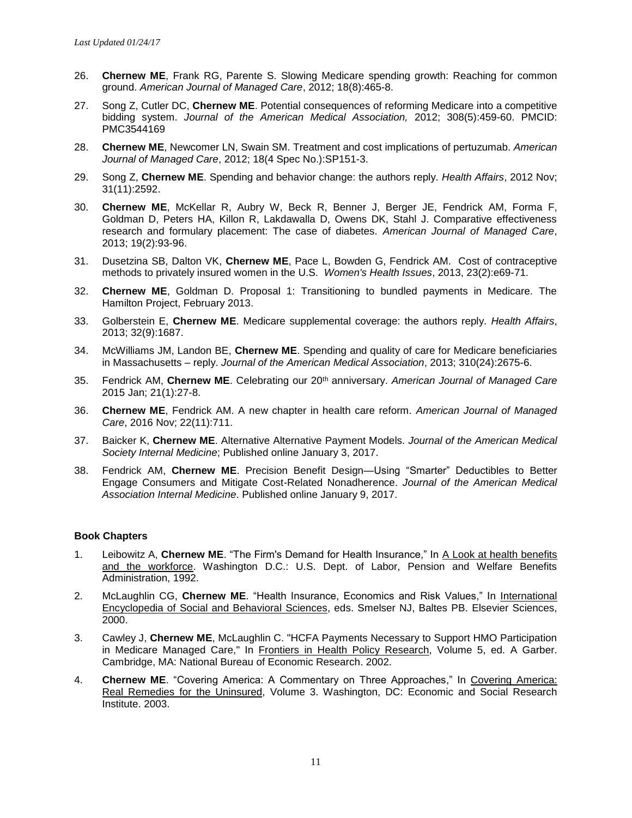- 26. **Chernew ME**, Frank RG, Parente S. Slowing Medicare spending growth: Reaching for common ground. *American Journal of Managed Care*, 2012; 18(8):465-8.
- 27. Song Z, Cutler DC, **Chernew ME**. Potential consequences of reforming Medicare into a competitive bidding system. *Journal of the American Medical Association,* 2012; 308(5):459-60. PMCID: PMC3544169
- 28. **Chernew ME**, Newcomer LN, Swain SM. Treatment and cost implications of pertuzumab. *American Journal of Managed Care*, 2012; 18(4 Spec No.):SP151-3.
- 29. Song Z, **Chernew ME**. Spending and behavior change: the authors reply. *Health Affairs*, 2012 Nov; 31(11):2592.
- 30. **Chernew ME**, McKellar R, Aubry W, Beck R, Benner J, Berger JE, Fendrick AM, Forma F, Goldman D, Peters HA, Killon R, Lakdawalla D, Owens DK, Stahl J. Comparative effectiveness research and formulary placement: The case of diabetes. *American Journal of Managed Care*, 2013; 19(2):93-96.
- 31. Dusetzina SB, Dalton VK, **Chernew ME**, Pace L, Bowden G, Fendrick AM. Cost of contraceptive methods to privately insured women in the U.S. *Women's Health Issues*, 2013, 23(2):e69-71.
- 32. **Chernew ME**, Goldman D. Proposal 1: Transitioning to bundled payments in Medicare. The Hamilton Project, February 2013.
- 33. Golberstein E, **Chernew ME**. Medicare supplemental coverage: the authors reply. *Health Affairs*, 2013; 32(9):1687.
- 34. McWilliams JM, Landon BE, **Chernew ME**. Spending and quality of care for Medicare beneficiaries in Massachusetts – reply. *Journal of the American Medical Association*, 2013; 310(24):2675-6.
- 35. Fendrick AM, **Chernew ME**. Celebrating our 20th anniversary. *American Journal of Managed Care* 2015 Jan; 21(1):27-8.
- 36. **Chernew ME**, Fendrick AM. A new chapter in health care reform. *American Journal of Managed Care*, 2016 Nov; 22(11):711.
- 37. Baicker K, **Chernew ME**. Alternative Alternative Payment Models. *Journal of the American Medical Society Internal Medicine*; Published online January 3, 2017.
- 38. Fendrick AM, **Chernew ME**. Precision Benefit Design—Using "Smarter" Deductibles to Better Engage Consumers and Mitigate Cost-Related Nonadherence. *Journal of the American Medical Association Internal Medicine*. Published online January 9, 2017.

#### **Book Chapters**

- 1. Leibowitz A, **Chernew ME**. "The Firm's Demand for Health Insurance," In A Look at health benefits and the workforce. Washington D.C.: U.S. Dept. of Labor, Pension and Welfare Benefits Administration, 1992.
- 2. McLaughlin CG, **Chernew ME**. "Health Insurance, Economics and Risk Values," In International Encyclopedia of Social and Behavioral Sciences, eds. Smelser NJ, Baltes PB. Elsevier Sciences, 2000.
- 3. Cawley J, **Chernew ME**, McLaughlin C. "HCFA Payments Necessary to Support HMO Participation in Medicare Managed Care," In Frontiers in Health Policy Research, Volume 5, ed. A Garber. Cambridge, MA: National Bureau of Economic Research. 2002.
- 4. **Chernew ME**. "Covering America: A Commentary on Three Approaches," In Covering America: Real Remedies for the Uninsured, Volume 3. Washington, DC: Economic and Social Research Institute. 2003.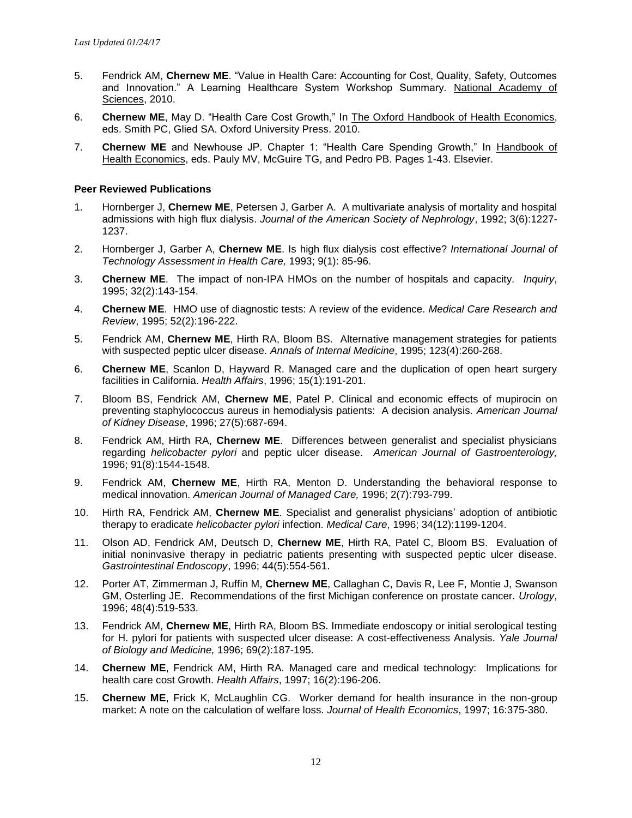- 5. Fendrick AM, **Chernew ME**. "Value in Health Care: Accounting for Cost, Quality, Safety, Outcomes and Innovation." A Learning Healthcare System Workshop Summary. National Academy of Sciences, 2010.
- 6. **Chernew ME**, May D. "Health Care Cost Growth," In The Oxford Handbook of Health Economics, eds. Smith PC, Glied SA. Oxford University Press. 2010.
- 7. **Chernew ME** and Newhouse JP. Chapter 1: "Health Care Spending Growth," In Handbook of Health Economics, eds. Pauly MV, McGuire TG, and Pedro PB. Pages 1-43. Elsevier.

#### **Peer Reviewed Publications**

- 1. Hornberger J, **Chernew ME**, Petersen J, Garber A. A multivariate analysis of mortality and hospital admissions with high flux dialysis. *Journal of the American Society of Nephrology*, 1992; 3(6):1227- 1237.
- 2. Hornberger J, Garber A, **Chernew ME**. Is high flux dialysis cost effective? *International Journal of Technology Assessment in Health Care,* 1993; 9(1): 85-96.
- 3. **Chernew ME**. The impact of non-IPA HMOs on the number of hospitals and capacity. *Inquiry*, 1995; 32(2):143-154.
- 4. **Chernew ME**. HMO use of diagnostic tests: A review of the evidence. *Medical Care Research and Review*, 1995; 52(2):196-222.
- 5. Fendrick AM, **Chernew ME**, Hirth RA, Bloom BS. Alternative management strategies for patients with suspected peptic ulcer disease. *Annals of Internal Medicine*, 1995; 123(4):260-268.
- 6. **Chernew ME**, Scanlon D, Hayward R. Managed care and the duplication of open heart surgery facilities in California. *Health Affairs*, 1996; 15(1):191-201.
- 7. Bloom BS, Fendrick AM, **Chernew ME**, Patel P. Clinical and economic effects of mupirocin on preventing staphylococcus aureus in hemodialysis patients: A decision analysis. *American Journal of Kidney Disease*, 1996; 27(5):687-694.
- 8. Fendrick AM, Hirth RA, **Chernew ME**. Differences between generalist and specialist physicians regarding *helicobacter pylori* and peptic ulcer disease. *American Journal of Gastroenterology,* 1996; 91(8):1544-1548.
- 9. Fendrick AM, **Chernew ME**, Hirth RA, Menton D. Understanding the behavioral response to medical innovation. *American Journal of Managed Care,* 1996; 2(7):793-799.
- 10. Hirth RA, Fendrick AM, **Chernew ME**. Specialist and generalist physicians' adoption of antibiotic therapy to eradicate *helicobacter pylori* infection. *Medical Care*, 1996; 34(12):1199-1204.
- 11. Olson AD, Fendrick AM, Deutsch D, **Chernew ME**, Hirth RA, Patel C, Bloom BS. Evaluation of initial noninvasive therapy in pediatric patients presenting with suspected peptic ulcer disease. *Gastrointestinal Endoscopy*, 1996; 44(5):554-561.
- 12. Porter AT, Zimmerman J, Ruffin M, **Chernew ME**, Callaghan C, Davis R, Lee F, Montie J, Swanson GM, Osterling JE. Recommendations of the first Michigan conference on prostate cancer. *Urology*, 1996; 48(4):519-533.
- 13. Fendrick AM, **Chernew ME**, Hirth RA, Bloom BS. Immediate endoscopy or initial serological testing for H. pylori for patients with suspected ulcer disease: A cost-effectiveness Analysis. *Yale Journal of Biology and Medicine,* 1996; 69(2):187-195.
- 14. **Chernew ME**, Fendrick AM, Hirth RA. Managed care and medical technology: Implications for health care cost Growth. *Health Affairs*, 1997; 16(2):196-206.
- 15. **Chernew ME**, Frick K, McLaughlin CG. Worker demand for health insurance in the non-group market: A note on the calculation of welfare loss. *Journal of Health Economics*, 1997; 16:375-380.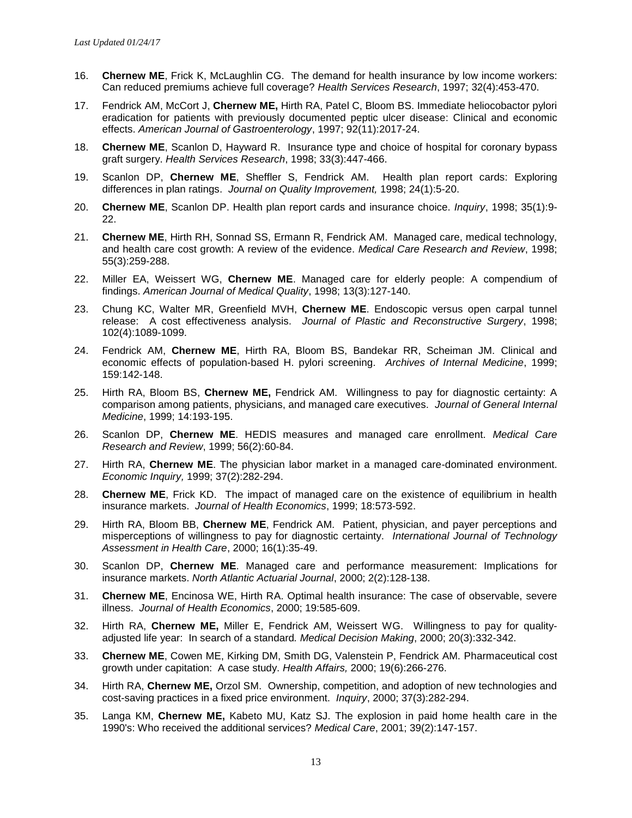- 16. **Chernew ME**, Frick K, McLaughlin CG. The demand for health insurance by low income workers: Can reduced premiums achieve full coverage? *Health Services Research*, 1997; 32(4):453-470.
- 17. Fendrick AM, McCort J, **Chernew ME,** Hirth RA, Patel C, Bloom BS. Immediate heliocobactor pylori eradication for patients with previously documented peptic ulcer disease: Clinical and economic effects. *American Journal of Gastroenterology*, 1997; 92(11):2017-24.
- 18. **Chernew ME**, Scanlon D, Hayward R. Insurance type and choice of hospital for coronary bypass graft surgery. *Health Services Research*, 1998; 33(3):447-466.
- 19. Scanlon DP, **Chernew ME**, Sheffler S, Fendrick AM. Health plan report cards: Exploring differences in plan ratings. *Journal on Quality Improvement,* 1998; 24(1):5-20.
- 20. **Chernew ME**, Scanlon DP. Health plan report cards and insurance choice. *Inquiry*, 1998; 35(1):9- 22.
- 21. **Chernew ME**, Hirth RH, Sonnad SS, Ermann R, Fendrick AM. Managed care, medical technology, and health care cost growth: A review of the evidence. *Medical Care Research and Review*, 1998; 55(3):259-288.
- 22. Miller EA, Weissert WG, **Chernew ME**. Managed care for elderly people: A compendium of findings. *American Journal of Medical Quality*, 1998; 13(3):127-140.
- 23. Chung KC, Walter MR, Greenfield MVH, **Chernew ME**. Endoscopic versus open carpal tunnel release: A cost effectiveness analysis. *Journal of Plastic and Reconstructive Surgery*, 1998; 102(4):1089-1099.
- 24. Fendrick AM, **Chernew ME**, Hirth RA, Bloom BS, Bandekar RR, Scheiman JM. Clinical and economic effects of population-based H. pylori screening. *Archives of Internal Medicine*, 1999; 159:142-148.
- 25. Hirth RA, Bloom BS, **Chernew ME,** Fendrick AM. Willingness to pay for diagnostic certainty: A comparison among patients, physicians, and managed care executives. *Journal of General Internal Medicine*, 1999; 14:193-195.
- 26. Scanlon DP, **Chernew ME**. HEDIS measures and managed care enrollment. *Medical Care Research and Review*, 1999; 56(2):60-84.
- 27. Hirth RA, **Chernew ME**. The physician labor market in a managed care-dominated environment. *Economic Inquiry,* 1999; 37(2):282-294.
- 28. **Chernew ME**, Frick KD. The impact of managed care on the existence of equilibrium in health insurance markets. *Journal of Health Economics*, 1999; 18:573-592.
- 29. Hirth RA, Bloom BB, **Chernew ME**, Fendrick AM. Patient, physician, and payer perceptions and misperceptions of willingness to pay for diagnostic certainty. *International Journal of Technology Assessment in Health Care*, 2000; 16(1):35-49.
- 30. Scanlon DP, **Chernew ME**. Managed care and performance measurement: Implications for insurance markets. *North Atlantic Actuarial Journal*, 2000; 2(2):128-138.
- 31. **Chernew ME**, Encinosa WE, Hirth RA. Optimal health insurance: The case of observable, severe illness. *Journal of Health Economics*, 2000; 19:585-609.
- 32. Hirth RA, **Chernew ME,** Miller E, Fendrick AM, Weissert WG. Willingness to pay for qualityadjusted life year: In search of a standard*. Medical Decision Making*, 2000; 20(3):332-342.
- 33. **Chernew ME**, Cowen ME, Kirking DM, Smith DG, Valenstein P, Fendrick AM. Pharmaceutical cost growth under capitation: A case study. *Health Affairs,* 2000; 19(6):266-276.
- 34. Hirth RA, **Chernew ME,** Orzol SM. Ownership, competition, and adoption of new technologies and cost-saving practices in a fixed price environment. *Inquiry*, 2000; 37(3):282-294.
- 35. Langa KM, **Chernew ME,** Kabeto MU, Katz SJ. The explosion in paid home health care in the 1990's: Who received the additional services? *Medical Care*, 2001; 39(2):147-157.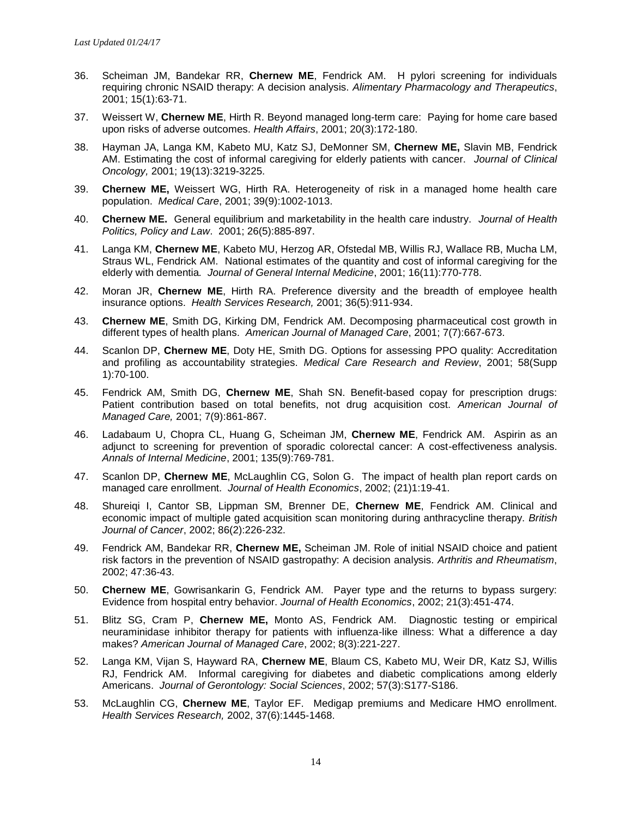- 36. Scheiman JM, Bandekar RR, **Chernew ME**, Fendrick AM. H pylori screening for individuals requiring chronic NSAID therapy: A decision analysis. *Alimentary Pharmacology and Therapeutics*, 2001; 15(1):63-71.
- 37. Weissert W, **Chernew ME**, Hirth R. Beyond managed long-term care: Paying for home care based upon risks of adverse outcomes. *Health Affairs*, 2001; 20(3):172-180.
- 38. Hayman JA, Langa KM, Kabeto MU, Katz SJ, DeMonner SM, **Chernew ME,** Slavin MB, Fendrick AM. Estimating the cost of informal caregiving for elderly patients with cancer. *Journal of Clinical Oncology,* 2001; 19(13):3219-3225.
- 39. **Chernew ME,** Weissert WG, Hirth RA. Heterogeneity of risk in a managed home health care population. *Medical Care*, 2001; 39(9):1002-1013.
- 40. **Chernew ME.** General equilibrium and marketability in the health care industry. *Journal of Health Politics, Policy and Law*. 2001; 26(5):885-897.
- 41. Langa KM, **Chernew ME**, Kabeto MU, Herzog AR, Ofstedal MB, Willis RJ, Wallace RB, Mucha LM, Straus WL, Fendrick AM. National estimates of the quantity and cost of informal caregiving for the elderly with dementia*. Journal of General Internal Medicine*, 2001; 16(11):770-778.
- 42. Moran JR, **Chernew ME**, Hirth RA. Preference diversity and the breadth of employee health insurance options. *Health Services Research,* 2001; 36(5):911-934.
- 43. **Chernew ME**, Smith DG, Kirking DM, Fendrick AM. Decomposing pharmaceutical cost growth in different types of health plans. *American Journal of Managed Care*, 2001; 7(7):667-673.
- 44. Scanlon DP, **Chernew ME**, Doty HE, Smith DG. Options for assessing PPO quality: Accreditation and profiling as accountability strategies. *Medical Care Research and Review*, 2001; 58(Supp 1):70-100.
- 45. Fendrick AM, Smith DG, **Chernew ME**, Shah SN. Benefit-based copay for prescription drugs: Patient contribution based on total benefits, not drug acquisition cost. *American Journal of Managed Care,* 2001; 7(9):861-867.
- 46. Ladabaum U, Chopra CL, Huang G, Scheiman JM, **Chernew ME**, Fendrick AM. Aspirin as an adjunct to screening for prevention of sporadic colorectal cancer: A cost-effectiveness analysis. *Annals of Internal Medicine*, 2001; 135(9):769-781.
- 47. Scanlon DP, **Chernew ME**, McLaughlin CG, Solon G. The impact of health plan report cards on managed care enrollment. *Journal of Health Economics*, 2002; (21)1:19-41.
- 48. Shureiqi I, Cantor SB, Lippman SM, Brenner DE, **Chernew ME**, Fendrick AM. Clinical and economic impact of multiple gated acquisition scan monitoring during anthracycline therapy. *British Journal of Cancer*, 2002; 86(2):226-232.
- 49. Fendrick AM, Bandekar RR, **Chernew ME,** Scheiman JM. Role of initial NSAID choice and patient risk factors in the prevention of NSAID gastropathy: A decision analysis. *Arthritis and Rheumatism*, 2002; 47:36-43.
- 50. **Chernew ME**, Gowrisankarin G, Fendrick AM. Payer type and the returns to bypass surgery: Evidence from hospital entry behavior. *Journal of Health Economics*, 2002; 21(3):451-474.
- 51. Blitz SG, Cram P, **Chernew ME,** Monto AS, Fendrick AM. Diagnostic testing or empirical neuraminidase inhibitor therapy for patients with influenza-like illness: What a difference a day makes? *American Journal of Managed Care*, 2002; 8(3):221-227.
- 52. Langa KM, Vijan S, Hayward RA, **Chernew ME**, Blaum CS, Kabeto MU, Weir DR, Katz SJ, Willis RJ, Fendrick AM. Informal caregiving for diabetes and diabetic complications among elderly Americans. *Journal of Gerontology: Social Sciences*, 2002; 57(3):S177-S186.
- 53. McLaughlin CG, **Chernew ME**, Taylor EF. Medigap premiums and Medicare HMO enrollment. *Health Services Research,* 2002, 37(6):1445-1468.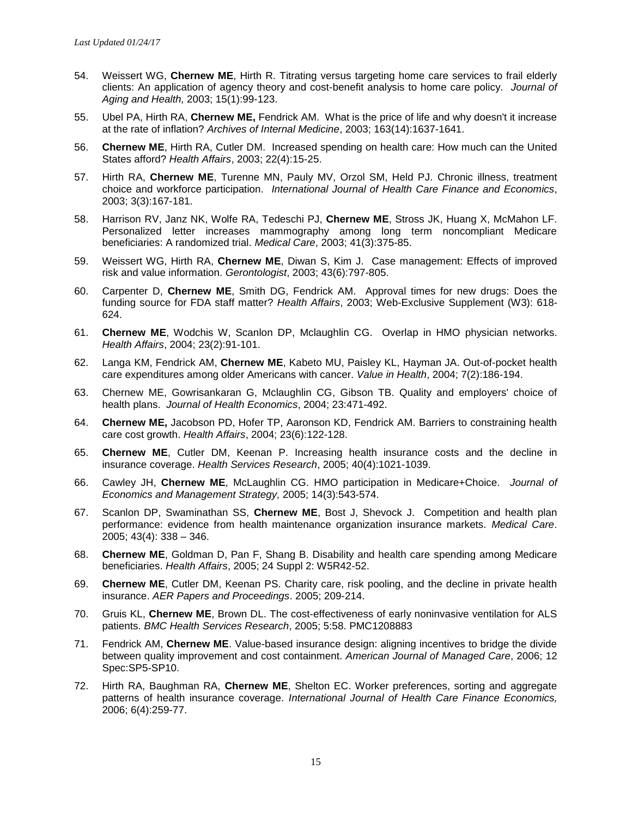- 54. Weissert WG, **Chernew ME**, Hirth R. Titrating versus targeting home care services to frail elderly clients: An application of agency theory and cost-benefit analysis to home care policy. *Journal of Aging and Health,* 2003; 15(1):99-123.
- 55. Ubel PA, Hirth RA, **Chernew ME,** Fendrick AM. What is the price of life and why doesn't it increase at the rate of inflation? *Archives of Internal Medicine*, 2003; 163(14):1637-1641.
- 56. **Chernew ME**, Hirth RA, Cutler DM. Increased spending on health care: How much can the United States afford? *Health Affairs*, 2003; 22(4):15-25.
- 57. Hirth RA, **Chernew ME**, Turenne MN, Pauly MV, Orzol SM, Held PJ. Chronic illness, treatment choice and workforce participation. *International Journal of Health Care Finance and Economics*, 2003; 3(3):167-181.
- 58. Harrison RV, Janz NK, Wolfe RA, Tedeschi PJ, **Chernew ME**, Stross JK, Huang X, McMahon LF. Personalized letter increases mammography among long term noncompliant Medicare beneficiaries: A randomized trial. *Medical Care*, 2003; 41(3):375-85.
- 59. Weissert WG, Hirth RA, **Chernew ME**, Diwan S, Kim J. Case management: Effects of improved risk and value information. *Gerontologist*, 2003; 43(6):797-805.
- 60. Carpenter D, **Chernew ME**, Smith DG, Fendrick AM. Approval times for new drugs: Does the funding source for FDA staff matter? *Health Affairs*, 2003; Web-Exclusive Supplement (W3): 618- 624.
- 61. **Chernew ME**, Wodchis W, Scanlon DP, Mclaughlin CG. Overlap in HMO physician networks. *Health Affairs*, 2004; 23(2):91-101.
- 62. Langa KM, Fendrick AM, **Chernew ME**, Kabeto MU, Paisley KL, Hayman JA. Out-of-pocket health care expenditures among older Americans with cancer. *Value in Health*, 2004; 7(2):186-194.
- 63. Chernew ME, Gowrisankaran G, Mclaughlin CG, Gibson TB. Quality and employers' choice of health plans. *Journal of Health Economics*, 2004; 23:471-492.
- 64. **Chernew ME,** Jacobson PD, Hofer TP, Aaronson KD, Fendrick AM. Barriers to constraining health care cost growth. *Health Affairs*, 2004; 23(6):122-128.
- 65. **Chernew ME**, Cutler DM, Keenan P. Increasing health insurance costs and the decline in insurance coverage. *Health Services Research*, 2005; 40(4):1021-1039.
- 66. Cawley JH, **Chernew ME**, McLaughlin CG. HMO participation in Medicare+Choice. *Journal of Economics and Management Strategy,* 2005; 14(3):543-574.
- 67. Scanlon DP, Swaminathan SS, **Chernew ME**, Bost J, Shevock J. Competition and health plan performance: evidence from health maintenance organization insurance markets. *Medical Care*. 2005; 43(4): 338 – 346.
- 68. **Chernew ME**, Goldman D, Pan F, Shang B. Disability and health care spending among Medicare beneficiaries. *Health Affairs*, 2005; 24 Suppl 2: W5R42-52.
- 69. **Chernew ME**, Cutler DM, Keenan PS. Charity care, risk pooling, and the decline in private health insurance. *AER Papers and Proceedings*. 2005; 209-214.
- 70. Gruis KL, **Chernew ME**, Brown DL. The cost-effectiveness of early noninvasive ventilation for ALS patients. *BMC Health Services Research*, 2005; 5:58. PMC1208883
- 71. Fendrick AM, **Chernew ME**. Value-based insurance design: aligning incentives to bridge the divide between quality improvement and cost containment. *American Journal of Managed Care*, 2006; 12 Spec:SP5-SP10.
- 72. Hirth RA, Baughman RA, **Chernew ME**, Shelton EC. Worker preferences, sorting and aggregate patterns of health insurance coverage. *International Journal of Health Care Finance Economics,* 2006; 6(4):259-77.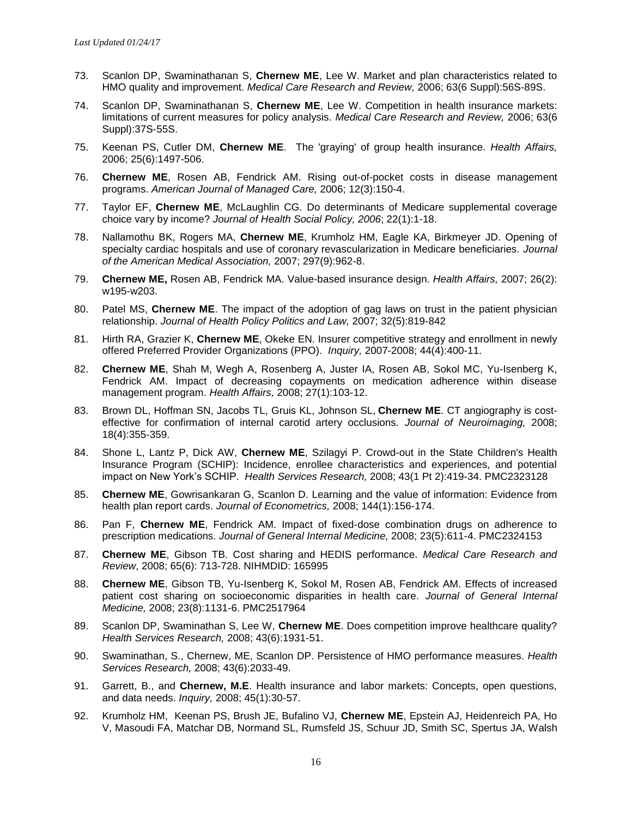- 73. Scanlon DP, Swaminathanan S, **Chernew ME**, Lee W. Market and plan characteristics related to HMO quality and improvement. *Medical Care Research and Review,* 2006; 63(6 Suppl):56S-89S.
- 74. Scanlon DP, Swaminathanan S, **Chernew ME**, Lee W. Competition in health insurance markets: limitations of current measures for policy analysis. *Medical Care Research and Review,* 2006; 63(6 Suppl):37S-55S.
- 75. Keenan PS, Cutler DM, **Chernew ME**. The 'graying' of group health insurance. *Health Affairs,* 2006; 25(6):1497-506.
- 76. **Chernew ME**, Rosen AB, Fendrick AM. Rising out-of-pocket costs in disease management programs. *American Journal of Managed Care,* 2006; 12(3):150-4.
- 77. Taylor EF, **Chernew ME**, McLaughlin CG. Do determinants of Medicare supplemental coverage choice vary by income? *Journal of Health Social Policy, 2006*; 22(1):1-18.
- 78. Nallamothu BK, Rogers MA, **Chernew ME**, Krumholz HM, Eagle KA, Birkmeyer JD. Opening of specialty cardiac hospitals and use of coronary revascularization in Medicare beneficiaries. *Journal of the American Medical Association,* 2007; 297(9):962-8.
- 79. **Chernew ME,** Rosen AB, Fendrick MA. Value-based insurance design. *Health Affairs,* 2007; 26(2): w195-w203.
- 80. Patel MS, **Chernew ME**. The impact of the adoption of gag laws on trust in the patient physician relationship. *Journal of Health Policy Politics and Law,* 2007; 32(5):819-842
- 81. Hirth RA, Grazier K, **Chernew ME**, Okeke EN. Insurer competitive strategy and enrollment in newly offered Preferred Provider Organizations (PPO). *Inquiry,* 2007-2008; 44(4):400-11.
- 82. **Chernew ME**, Shah M, Wegh A, Rosenberg A, Juster IA, Rosen AB, Sokol MC, Yu-Isenberg K, Fendrick AM. Impact of decreasing copayments on medication adherence within disease management program. *Health Affairs,* 2008; 27(1):103-12.
- 83. Brown DL, Hoffman SN, Jacobs TL, Gruis KL, Johnson SL, **Chernew ME**. CT angiography is costeffective for confirmation of internal carotid artery occlusions. *Journal of Neuroimaging,* 2008; 18(4):355-359.
- 84. Shone L, Lantz P, Dick AW, **Chernew ME**, Szilagyi P. Crowd-out in the State Children's Health Insurance Program (SCHIP): Incidence, enrollee characteristics and experiences, and potential impact on New York's SCHIP. *Health Services Research,* 2008; 43(1 Pt 2):419-34. PMC2323128
- 85. **Chernew ME**, Gowrisankaran G, Scanlon D. Learning and the value of information: Evidence from health plan report cards. *Journal of Econometrics,* 2008; 144(1):156-174.
- 86. Pan F, **Chernew ME**, Fendrick AM. Impact of fixed-dose combination drugs on adherence to prescription medications. *Journal of General Internal Medicine,* 2008; 23(5):611-4. PMC2324153
- 87. **Chernew ME**, Gibson TB. Cost sharing and HEDIS performance. *Medical Care Research and Review*, 2008; 65(6): 713-728. NIHMDID: 165995
- 88. **Chernew ME**, Gibson TB, Yu-Isenberg K, Sokol M, Rosen AB, Fendrick AM. Effects of increased patient cost sharing on socioeconomic disparities in health care. *Journal of General Internal Medicine,* 2008; 23(8):1131-6. PMC2517964
- 89. Scanlon DP, Swaminathan S, Lee W, **Chernew ME**. Does competition improve healthcare quality? *Health Services Research,* 2008; 43(6):1931-51.
- 90. Swaminathan, S., Chernew, ME, Scanlon DP. Persistence of HMO performance measures. *Health Services Research,* 2008; 43(6):2033-49.
- 91. Garrett, B., and **Chernew, M.E**. Health insurance and labor markets: Concepts, open questions, and data needs. *Inquiry,* 2008; 45(1):30-57.
- 92. Krumholz HM, Keenan PS, Brush JE, Bufalino VJ, **Chernew ME**, Epstein AJ, Heidenreich PA, Ho V, Masoudi FA, Matchar DB, Normand SL, Rumsfeld JS, Schuur JD, Smith SC, Spertus JA, Walsh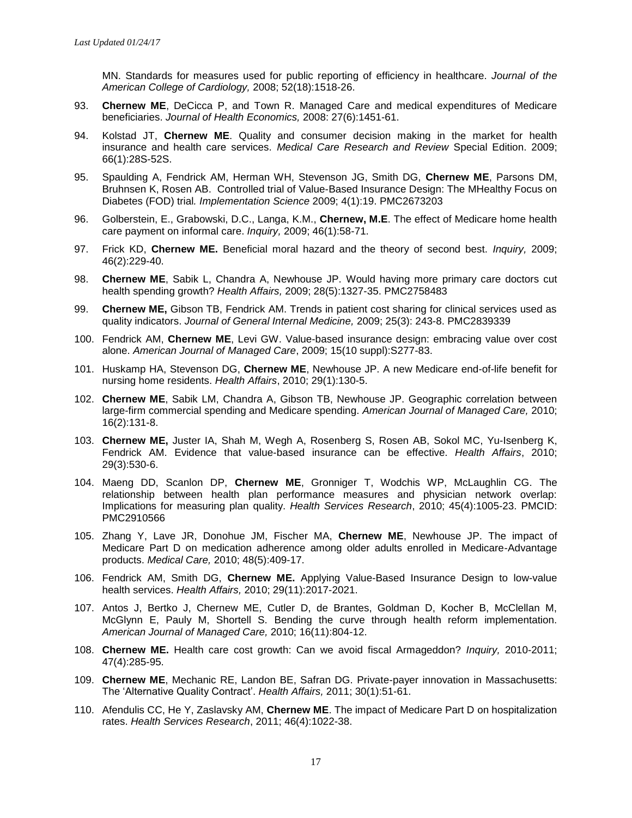MN. Standards for measures used for public reporting of efficiency in healthcare. *Journal of the American College of Cardiology,* 2008; 52(18):1518-26.

- 93. **Chernew ME**, DeCicca P, and Town R. Managed Care and medical expenditures of Medicare beneficiaries. *Journal of Health Economics,* 2008: 27(6):1451-61.
- 94. Kolstad JT, **Chernew ME**. Quality and consumer decision making in the market for health insurance and health care services. *Medical Care Research and Review* Special Edition. 2009; 66(1):28S-52S.
- 95. Spaulding A, Fendrick AM, Herman WH, Stevenson JG, Smith DG, **Chernew ME**, Parsons DM, Bruhnsen K, Rosen AB. Controlled trial of Value-Based Insurance Design: The MHealthy Focus on Diabetes (FOD) trial*. Implementation Science* 2009; 4(1):19. PMC2673203
- 96. Golberstein, E., Grabowski, D.C., Langa, K.M., **Chernew, M.E**. The effect of Medicare home health care payment on informal care. *Inquiry,* 2009; 46(1):58-71.
- 97. Frick KD, **Chernew ME.** Beneficial moral hazard and the theory of second best. *Inquiry,* 2009; 46(2):229-40.
- 98. **Chernew ME**, Sabik L, Chandra A, Newhouse JP. Would having more primary care doctors cut health spending growth? *Health Affairs,* 2009; 28(5):1327-35. PMC2758483
- 99. **Chernew ME,** Gibson TB, Fendrick AM. Trends in patient cost sharing for clinical services used as quality indicators. *Journal of General Internal Medicine,* 2009; 25(3): 243-8. PMC2839339
- 100. Fendrick AM, **Chernew ME**, Levi GW. Value-based insurance design: embracing value over cost alone. *American Journal of Managed Care*, 2009; 15(10 suppl):S277-83.
- 101. Huskamp HA, Stevenson DG, **Chernew ME**, Newhouse JP. A new Medicare end-of-life benefit for nursing home residents. *Health Affairs*, 2010; 29(1):130-5.
- 102. **Chernew ME**, Sabik LM, Chandra A, Gibson TB, Newhouse JP. Geographic correlation between large-firm commercial spending and Medicare spending. *American Journal of Managed Care,* 2010; 16(2):131-8.
- 103. **Chernew ME,** Juster IA, Shah M, Wegh A, Rosenberg S, Rosen AB, Sokol MC, Yu-Isenberg K, Fendrick AM. Evidence that value-based insurance can be effective. *Health Affairs*, 2010; 29(3):530-6.
- 104. Maeng DD, Scanlon DP, **Chernew ME**, Gronniger T, Wodchis WP, McLaughlin CG. The relationship between health plan performance measures and physician network overlap: Implications for measuring plan quality. *Health Services Research*, 2010; 45(4):1005-23. PMCID: PMC2910566
- 105. Zhang Y, Lave JR, Donohue JM, Fischer MA, **Chernew ME**, Newhouse JP. The impact of Medicare Part D on medication adherence among older adults enrolled in Medicare-Advantage products. *Medical Care,* 2010; 48(5):409-17.
- 106. Fendrick AM, Smith DG, **Chernew ME.** Applying Value-Based Insurance Design to low-value health services. *Health Affairs,* 2010; 29(11):2017-2021.
- 107. Antos J, Bertko J, Chernew ME, Cutler D, de Brantes, Goldman D, Kocher B, McClellan M, McGlynn E, Pauly M, Shortell S. Bending the curve through health reform implementation. *American Journal of Managed Care,* 2010; 16(11):804-12.
- 108. **Chernew ME.** Health care cost growth: Can we avoid fiscal Armageddon? *Inquiry,* 2010-2011; 47(4):285-95.
- 109. **Chernew ME**, Mechanic RE, Landon BE, Safran DG. Private-payer innovation in Massachusetts: The 'Alternative Quality Contract'. *Health Affairs,* 2011; 30(1):51-61.
- 110. Afendulis CC, He Y, Zaslavsky AM, **Chernew ME**. The impact of Medicare Part D on hospitalization rates. *Health Services Research*, 2011; 46(4):1022-38.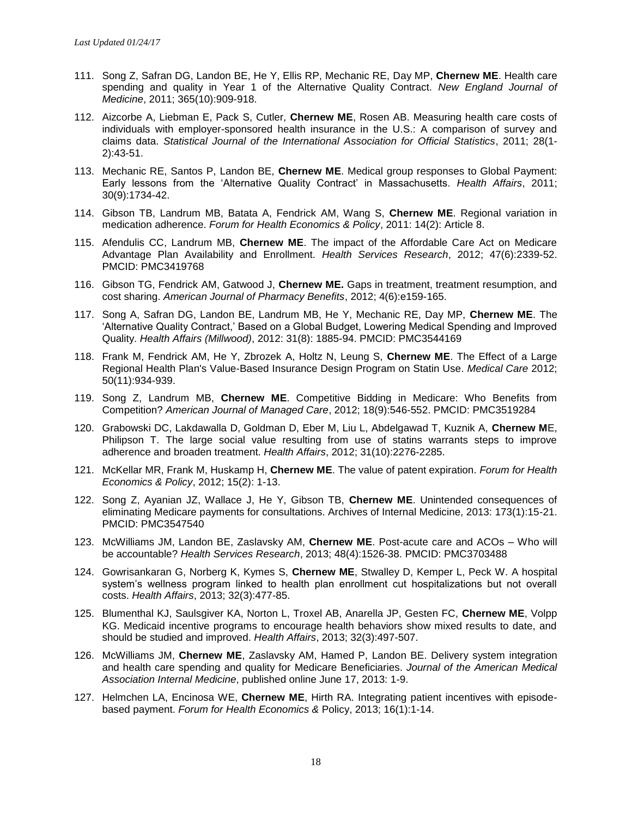- 111. Song Z, Safran DG, Landon BE, He Y, Ellis RP, Mechanic RE, Day MP, **Chernew ME**. Health care spending and quality in Year 1 of the Alternative Quality Contract. *New England Journal of Medicine*, 2011; 365(10):909-918.
- 112. Aizcorbe A, Liebman E, Pack S, Cutler, **Chernew ME**, Rosen AB. Measuring health care costs of individuals with employer-sponsored health insurance in the U.S.: A comparison of survey and claims data. *Statistical Journal of the International Association for Official Statistics*, 2011; 28(1- 2):43-51.
- 113. Mechanic RE, Santos P, Landon BE, **Chernew ME**. Medical group responses to Global Payment: Early lessons from the 'Alternative Quality Contract' in Massachusetts. *Health Affairs*, 2011; 30(9):1734-42.
- 114. Gibson TB, Landrum MB, Batata A, Fendrick AM, Wang S, **Chernew ME**. Regional variation in medication adherence. *Forum for Health Economics & Policy*, 2011: 14(2): Article 8.
- 115. Afendulis CC, Landrum MB, **Chernew ME**. The impact of the Affordable Care Act on Medicare Advantage Plan Availability and Enrollment. *Health Services Research*, 2012; 47(6):2339-52. PMCID: PMC3419768
- 116. Gibson TG, Fendrick AM, Gatwood J, **Chernew ME.** Gaps in treatment, treatment resumption, and cost sharing. *American Journal of Pharmacy Benefits*, 2012; 4(6):e159-165.
- 117. Song A, Safran DG, Landon BE, Landrum MB, He Y, Mechanic RE, Day MP, **Chernew ME**. The 'Alternative Quality Contract,' Based on a Global Budget, Lowering Medical Spending and Improved Quality. *Health Affairs (Millwood)*, 2012: 31(8): 1885-94. PMCID: PMC3544169
- 118. Frank M, Fendrick AM, He Y, Zbrozek A, Holtz N, Leung S, **Chernew ME**. The Effect of a Large Regional Health Plan's Value-Based Insurance Design Program on Statin Use. *Medical Care* 2012; 50(11):934-939.
- 119. Song Z, Landrum MB, **Chernew ME**. Competitive Bidding in Medicare: Who Benefits from Competition? *American Journal of Managed Care*, 2012; 18(9):546-552. PMCID: PMC3519284
- 120. Grabowski DC, Lakdawalla D, Goldman D, Eber M, Liu L, Abdelgawad T, Kuznik A, **Chernew M**E, Philipson T. The large social value resulting from use of statins warrants steps to improve adherence and broaden treatment. *Health Affairs*, 2012; 31(10):2276-2285.
- 121. McKellar MR, Frank M, Huskamp H, **Chernew ME**. The value of patent expiration. *Forum for Health Economics & Policy*, 2012; 15(2): 1-13.
- 122. Song Z, Ayanian JZ, Wallace J, He Y, Gibson TB, **Chernew ME**. Unintended consequences of eliminating Medicare payments for consultations. Archives of Internal Medicine, 2013: 173(1):15-21. PMCID: PMC3547540
- 123. McWilliams JM, Landon BE, Zaslavsky AM, **Chernew ME**. Post-acute care and ACOs Who will be accountable? *Health Services Research*, 2013; 48(4):1526-38. PMCID: PMC3703488
- 124. Gowrisankaran G, Norberg K, Kymes S, **Chernew ME**, Stwalley D, Kemper L, Peck W. A hospital system's wellness program linked to health plan enrollment cut hospitalizations but not overall costs. *Health Affairs*, 2013; 32(3):477-85.
- 125. Blumenthal KJ, Saulsgiver KA, Norton L, Troxel AB, Anarella JP, Gesten FC, **Chernew ME**, Volpp KG. Medicaid incentive programs to encourage health behaviors show mixed results to date, and should be studied and improved. *Health Affairs*, 2013; 32(3):497-507.
- 126. McWilliams JM, **Chernew ME**, Zaslavsky AM, Hamed P, Landon BE. Delivery system integration and health care spending and quality for Medicare Beneficiaries. *Journal of the American Medical Association Internal Medicine*, published online June 17, 2013: 1-9.
- 127. Helmchen LA, Encinosa WE, **Chernew ME**, Hirth RA. Integrating patient incentives with episodebased payment. *Forum for Health Economics &* Policy, 2013; 16(1):1-14.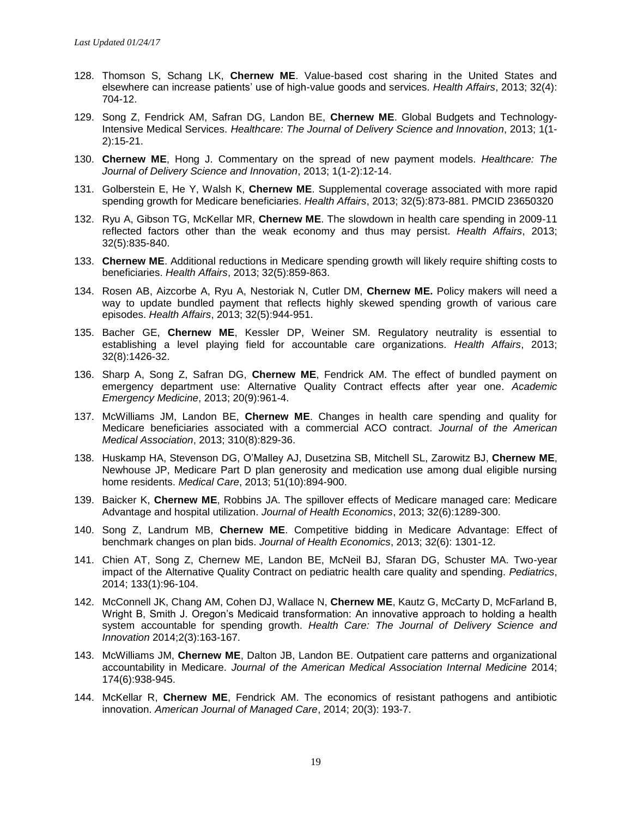- 128. Thomson S, Schang LK, **Chernew ME**. Value-based cost sharing in the United States and elsewhere can increase patients' use of high-value goods and services. *Health Affairs*, 2013; 32(4): 704-12.
- 129. Song Z, Fendrick AM, Safran DG, Landon BE, **Chernew ME**. Global Budgets and Technology-Intensive Medical Services. *Healthcare: The Journal of Delivery Science and Innovation*, 2013; 1(1- 2):15-21.
- 130. **Chernew ME**, Hong J. Commentary on the spread of new payment models. *Healthcare: The Journal of Delivery Science and Innovation*, 2013; 1(1-2):12-14.
- 131. Golberstein E, He Y, Walsh K, **Chernew ME**. Supplemental coverage associated with more rapid spending growth for Medicare beneficiaries. *Health Affairs*, 2013; 32(5):873-881. PMCID 23650320
- 132. Ryu A, Gibson TG, McKellar MR, **Chernew ME**. The slowdown in health care spending in 2009-11 reflected factors other than the weak economy and thus may persist. *Health Affairs*, 2013; 32(5):835-840.
- 133. **Chernew ME**. Additional reductions in Medicare spending growth will likely require shifting costs to beneficiaries. *Health Affairs*, 2013; 32(5):859-863.
- 134. Rosen AB, Aizcorbe A, Ryu A, Nestoriak N, Cutler DM, **Chernew ME.** Policy makers will need a way to update bundled payment that reflects highly skewed spending growth of various care episodes. *Health Affairs*, 2013; 32(5):944-951.
- 135. Bacher GE, **Chernew ME**, Kessler DP, Weiner SM. Regulatory neutrality is essential to establishing a level playing field for accountable care organizations. *Health Affairs*, 2013; 32(8):1426-32.
- 136. Sharp A, Song Z, Safran DG, **Chernew ME**, Fendrick AM. The effect of bundled payment on emergency department use: Alternative Quality Contract effects after year one. *Academic Emergency Medicine*, 2013; 20(9):961-4.
- 137. McWilliams JM, Landon BE, **Chernew ME**. Changes in health care spending and quality for Medicare beneficiaries associated with a commercial ACO contract. *Journal of the American Medical Association*, 2013; 310(8):829-36.
- 138. Huskamp HA, Stevenson DG, O'Malley AJ, Dusetzina SB, Mitchell SL, Zarowitz BJ, **Chernew ME**, Newhouse JP, Medicare Part D plan generosity and medication use among dual eligible nursing home residents. *Medical Care*, 2013; 51(10):894-900.
- 139. Baicker K, **Chernew ME**, Robbins JA. The spillover effects of Medicare managed care: Medicare Advantage and hospital utilization. *Journal of Health Economics*, 2013; 32(6):1289-300.
- 140. Song Z, Landrum MB, **Chernew ME**. Competitive bidding in Medicare Advantage: Effect of benchmark changes on plan bids. *Journal of Health Economics*, 2013; 32(6): 1301-12.
- 141. Chien AT, Song Z, Chernew ME, Landon BE, McNeil BJ, Sfaran DG, Schuster MA. Two-year impact of the Alternative Quality Contract on pediatric health care quality and spending. *Pediatrics*, 2014; 133(1):96-104.
- 142. McConnell JK, Chang AM, Cohen DJ, Wallace N, **Chernew ME**, Kautz G, McCarty D, McFarland B, Wright B, Smith J. Oregon's Medicaid transformation: An innovative approach to holding a health system accountable for spending growth. *Health Care: The Journal of Delivery Science and Innovation* 2014;2(3):163-167.
- 143. McWilliams JM, **Chernew ME**, Dalton JB, Landon BE. Outpatient care patterns and organizational accountability in Medicare. *Journal of the American Medical Association Internal Medicine* 2014; 174(6):938-945.
- 144. McKellar R, **Chernew ME**, Fendrick AM. The economics of resistant pathogens and antibiotic innovation. *American Journal of Managed Care*, 2014; 20(3): 193-7.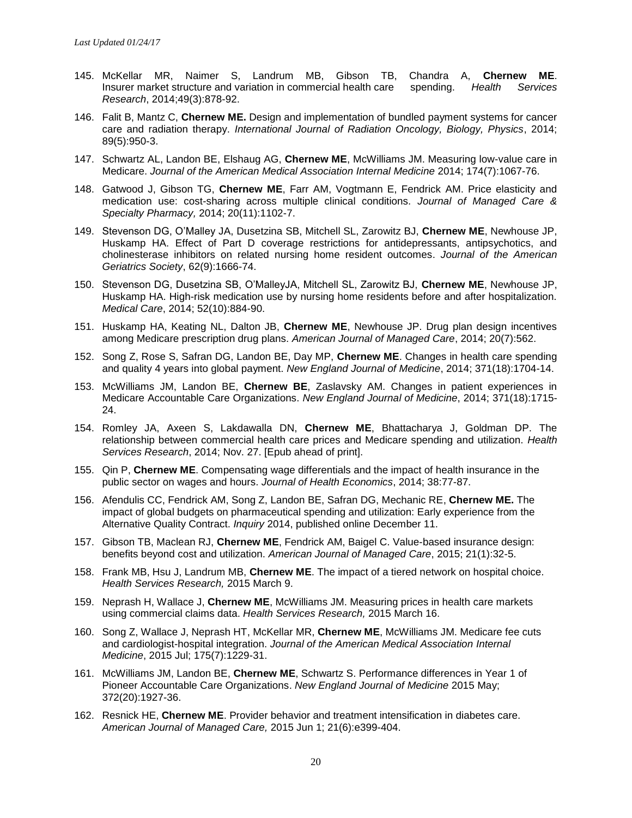- 145. McKellar MR, Naimer S, Landrum MB, Gibson TB, Chandra A, **Chernew ME**. Insurer market structure and variation in commercial health care spending. *Health Services Research*, 2014;49(3):878-92.
- 146. Falit B, Mantz C, **Chernew ME.** Design and implementation of bundled payment systems for cancer care and radiation therapy. *International Journal of Radiation Oncology, Biology, Physics*, 2014; 89(5):950-3.
- 147. Schwartz AL, Landon BE, Elshaug AG, **Chernew ME**, McWilliams JM. Measuring low-value care in Medicare. *Journal of the American Medical Association Internal Medicine* 2014; 174(7):1067-76.
- 148. Gatwood J, Gibson TG, **Chernew ME**, Farr AM, Vogtmann E, Fendrick AM. Price elasticity and medication use: cost-sharing across multiple clinical conditions. *Journal of Managed Care & Specialty Pharmacy,* 2014; 20(11):1102-7.
- 149. Stevenson DG, O'Malley JA, Dusetzina SB, Mitchell SL, Zarowitz BJ, **Chernew ME**, Newhouse JP, Huskamp HA. Effect of Part D coverage restrictions for antidepressants, antipsychotics, and cholinesterase inhibitors on related nursing home resident outcomes. *Journal of the American Geriatrics Society*, 62(9):1666-74.
- 150. Stevenson DG, Dusetzina SB, O'MalleyJA, Mitchell SL, Zarowitz BJ, **Chernew ME**, Newhouse JP, Huskamp HA. High-risk medication use by nursing home residents before and after hospitalization. *Medical Care*, 2014; 52(10):884-90.
- 151. Huskamp HA, Keating NL, Dalton JB, **Chernew ME**, Newhouse JP. Drug plan design incentives among Medicare prescription drug plans. *American Journal of Managed Care*, 2014; 20(7):562.
- 152. Song Z, Rose S, Safran DG, Landon BE, Day MP, **Chernew ME**. Changes in health care spending and quality 4 years into global payment. *New England Journal of Medicine*, 2014; 371(18):1704-14.
- 153. McWilliams JM, Landon BE, **Chernew BE**, Zaslavsky AM. Changes in patient experiences in Medicare Accountable Care Organizations. *New England Journal of Medicine*, 2014; 371(18):1715- 24.
- 154. Romley JA, Axeen S, Lakdawalla DN, **Chernew ME**, Bhattacharya J, Goldman DP. The relationship between commercial health care prices and Medicare spending and utilization. *Health Services Research*, 2014; Nov. 27. [Epub ahead of print].
- 155. Qin P, **Chernew ME**. Compensating wage differentials and the impact of health insurance in the public sector on wages and hours. *Journal of Health Economics*, 2014; 38:77-87.
- 156. Afendulis CC, Fendrick AM, Song Z, Landon BE, Safran DG, Mechanic RE, **Chernew ME.** The impact of global budgets on pharmaceutical spending and utilization: Early experience from the Alternative Quality Contract. *Inquiry* 2014, published online December 11.
- 157. Gibson TB, Maclean RJ, **Chernew ME**, Fendrick AM, Baigel C. Value-based insurance design: benefits beyond cost and utilization. *American Journal of Managed Care*, 2015; 21(1):32-5.
- 158. Frank MB, Hsu J, Landrum MB, **Chernew ME**. The impact of a tiered network on hospital choice. *Health Services Research,* 2015 March 9.
- 159. Neprash H, Wallace J, **Chernew ME**, McWilliams JM. Measuring prices in health care markets using commercial claims data. *Health Services Research,* 2015 March 16.
- 160. Song Z, Wallace J, Neprash HT, McKellar MR, **Chernew ME**, McWilliams JM. Medicare fee cuts and cardiologist-hospital integration. *Journal of the American Medical Association Internal Medicine*, 2015 Jul; 175(7):1229-31.
- 161. McWilliams JM, Landon BE, **Chernew ME**, Schwartz S. Performance differences in Year 1 of Pioneer Accountable Care Organizations. *New England Journal of Medicine* 2015 May; 372(20):1927-36.
- 162. Resnick HE, **Chernew ME**. Provider behavior and treatment intensification in diabetes care. *American Journal of Managed Care,* 2015 Jun 1; 21(6):e399-404.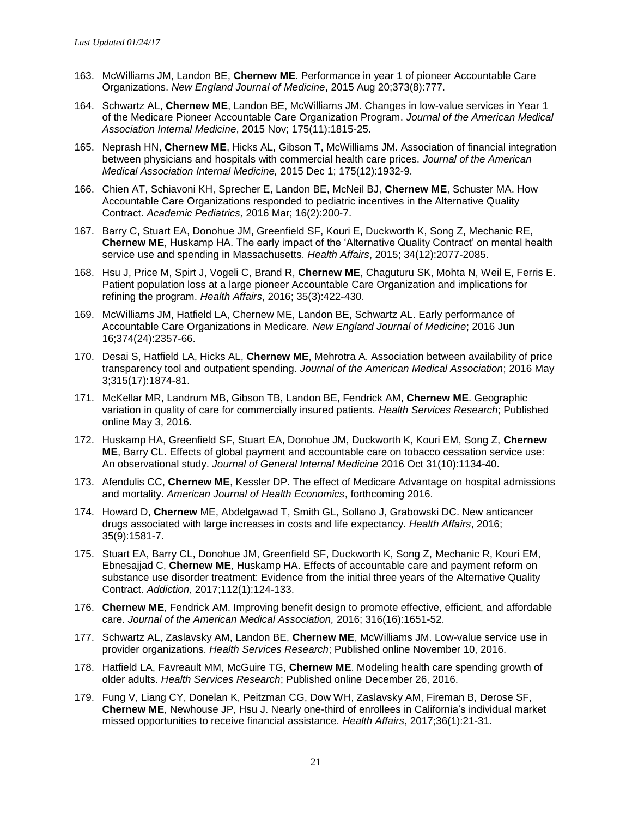- 163. McWilliams JM, Landon BE, **Chernew ME**. Performance in year 1 of pioneer Accountable Care Organizations. *New England Journal of Medicine*, 2015 Aug 20;373(8):777.
- 164. Schwartz AL, **Chernew ME**, Landon BE, McWilliams JM. Changes in low-value services in Year 1 of the Medicare Pioneer Accountable Care Organization Program. *Journal of the American Medical Association Internal Medicine*, 2015 Nov; 175(11):1815-25.
- 165. Neprash HN, **Chernew ME**, Hicks AL, Gibson T, McWilliams JM. Association of financial integration between physicians and hospitals with commercial health care prices. *Journal of the American Medical Association Internal Medicine,* 2015 Dec 1; 175(12):1932-9.
- 166. Chien AT, Schiavoni KH, Sprecher E, Landon BE, McNeil BJ, **Chernew ME**, Schuster MA. How Accountable Care Organizations responded to pediatric incentives in the Alternative Quality Contract. *Academic Pediatrics,* 2016 Mar; 16(2):200-7.
- 167. Barry C, Stuart EA, Donohue JM, Greenfield SF, Kouri E, Duckworth K, Song Z, Mechanic RE, **Chernew ME**, Huskamp HA. The early impact of the 'Alternative Quality Contract' on mental health service use and spending in Massachusetts. *Health Affairs*, 2015; 34(12):2077-2085.
- 168. Hsu J, Price M, Spirt J, Vogeli C, Brand R, **Chernew ME**, Chaguturu SK, Mohta N, Weil E, Ferris E. Patient population loss at a large pioneer Accountable Care Organization and implications for refining the program. *Health Affairs*, 2016; 35(3):422-430.
- 169. McWilliams JM, Hatfield LA, Chernew ME, Landon BE, Schwartz AL. Early performance of Accountable Care Organizations in Medicare. *New England Journal of Medicine*; 2016 Jun 16;374(24):2357-66.
- 170. Desai S, Hatfield LA, Hicks AL, **Chernew ME**, Mehrotra A. Association between availability of price transparency tool and outpatient spending. *Journal of the American Medical Association*; 2016 May 3;315(17):1874-81.
- 171. McKellar MR, Landrum MB, Gibson TB, Landon BE, Fendrick AM, **Chernew ME**. Geographic variation in quality of care for commercially insured patients. *Health Services Research*; Published online May 3, 2016.
- 172. Huskamp HA, Greenfield SF, Stuart EA, Donohue JM, Duckworth K, Kouri EM, Song Z, **Chernew ME**, Barry CL. Effects of global payment and accountable care on tobacco cessation service use: An observational study. *Journal of General Internal Medicine* 2016 Oct 31(10):1134-40.
- 173. Afendulis CC, **Chernew ME**, Kessler DP. The effect of Medicare Advantage on hospital admissions and mortality. *American Journal of Health Economics*, forthcoming 2016.
- 174. Howard D, **Chernew** ME, Abdelgawad T, Smith GL, Sollano J, Grabowski DC. New anticancer drugs associated with large increases in costs and life expectancy. *Health Affairs*, 2016; 35(9):1581-7.
- 175. Stuart EA, Barry CL, Donohue JM, Greenfield SF, Duckworth K, Song Z, Mechanic R, Kouri EM, Ebnesajjad C, **Chernew ME**, Huskamp HA. Effects of accountable care and payment reform on substance use disorder treatment: Evidence from the initial three years of the Alternative Quality Contract. *Addiction,* 2017;112(1):124-133.
- 176. **Chernew ME**, Fendrick AM. Improving benefit design to promote effective, efficient, and affordable care. *Journal of the American Medical Association,* 2016; 316(16):1651-52.
- 177. Schwartz AL, Zaslavsky AM, Landon BE, **Chernew ME**, McWilliams JM. Low-value service use in provider organizations. *Health Services Research*; Published online November 10, 2016.
- 178. Hatfield LA, Favreault MM, McGuire TG, **Chernew ME**. Modeling health care spending growth of older adults. *Health Services Research*; Published online December 26, 2016.
- 179. Fung V, Liang CY, Donelan K, Peitzman CG, Dow WH, Zaslavsky AM, Fireman B, Derose SF, **Chernew ME**, Newhouse JP, Hsu J. Nearly one-third of enrollees in California's individual market missed opportunities to receive financial assistance. *Health Affairs*, 2017;36(1):21-31.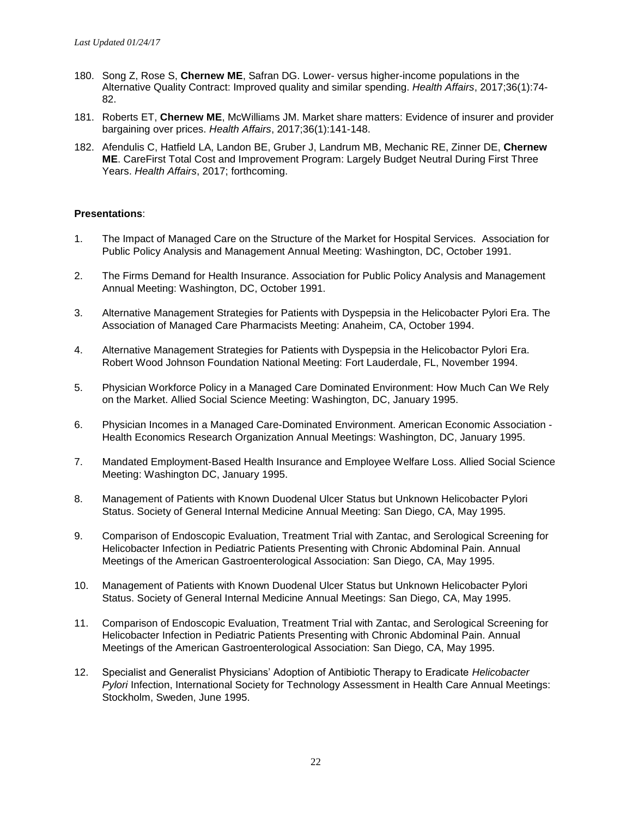- 180. Song Z, Rose S, **Chernew ME**, Safran DG. Lower- versus higher-income populations in the Alternative Quality Contract: Improved quality and similar spending. *Health Affairs*, 2017;36(1):74- 82.
- 181. Roberts ET, **Chernew ME**, McWilliams JM. Market share matters: Evidence of insurer and provider bargaining over prices. *Health Affairs*, 2017;36(1):141-148.
- 182. Afendulis C, Hatfield LA, Landon BE, Gruber J, Landrum MB, Mechanic RE, Zinner DE, **Chernew ME**. CareFirst Total Cost and Improvement Program: Largely Budget Neutral During First Three Years. *Health Affairs*, 2017; forthcoming.

#### **Presentations**:

- 1. The Impact of Managed Care on the Structure of the Market for Hospital Services. Association for Public Policy Analysis and Management Annual Meeting: Washington, DC, October 1991.
- 2. The Firms Demand for Health Insurance. Association for Public Policy Analysis and Management Annual Meeting: Washington, DC, October 1991.
- 3. Alternative Management Strategies for Patients with Dyspepsia in the Helicobacter Pylori Era. The Association of Managed Care Pharmacists Meeting: Anaheim, CA, October 1994.
- 4. Alternative Management Strategies for Patients with Dyspepsia in the Helicobactor Pylori Era. Robert Wood Johnson Foundation National Meeting: Fort Lauderdale, FL, November 1994.
- 5. Physician Workforce Policy in a Managed Care Dominated Environment: How Much Can We Rely on the Market. Allied Social Science Meeting: Washington, DC, January 1995.
- 6. Physician Incomes in a Managed Care-Dominated Environment. American Economic Association Health Economics Research Organization Annual Meetings: Washington, DC, January 1995.
- 7. Mandated Employment-Based Health Insurance and Employee Welfare Loss. Allied Social Science Meeting: Washington DC, January 1995.
- 8. Management of Patients with Known Duodenal Ulcer Status but Unknown Helicobacter Pylori Status. Society of General Internal Medicine Annual Meeting: San Diego, CA, May 1995.
- 9. Comparison of Endoscopic Evaluation, Treatment Trial with Zantac, and Serological Screening for Helicobacter Infection in Pediatric Patients Presenting with Chronic Abdominal Pain. Annual Meetings of the American Gastroenterological Association: San Diego, CA, May 1995.
- 10. Management of Patients with Known Duodenal Ulcer Status but Unknown Helicobacter Pylori Status. Society of General Internal Medicine Annual Meetings: San Diego, CA, May 1995.
- 11. Comparison of Endoscopic Evaluation, Treatment Trial with Zantac, and Serological Screening for Helicobacter Infection in Pediatric Patients Presenting with Chronic Abdominal Pain. Annual Meetings of the American Gastroenterological Association: San Diego, CA, May 1995.
- 12. Specialist and Generalist Physicians' Adoption of Antibiotic Therapy to Eradicate *Helicobacter Pylori* Infection, International Society for Technology Assessment in Health Care Annual Meetings: Stockholm, Sweden, June 1995.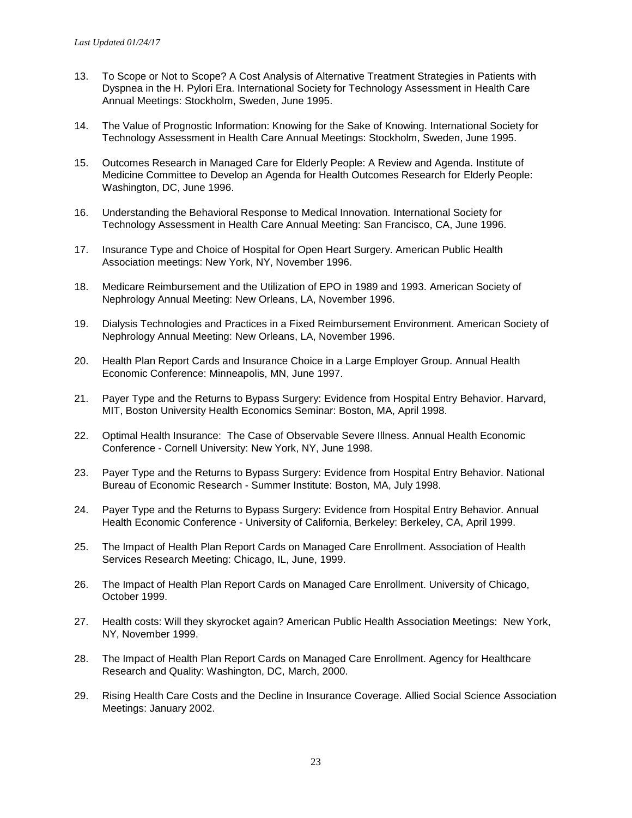- 13. To Scope or Not to Scope? A Cost Analysis of Alternative Treatment Strategies in Patients with Dyspnea in the H. Pylori Era. International Society for Technology Assessment in Health Care Annual Meetings: Stockholm, Sweden, June 1995.
- 14. The Value of Prognostic Information: Knowing for the Sake of Knowing. International Society for Technology Assessment in Health Care Annual Meetings: Stockholm, Sweden, June 1995.
- 15. Outcomes Research in Managed Care for Elderly People: A Review and Agenda. Institute of Medicine Committee to Develop an Agenda for Health Outcomes Research for Elderly People: Washington, DC, June 1996.
- 16. Understanding the Behavioral Response to Medical Innovation. International Society for Technology Assessment in Health Care Annual Meeting: San Francisco, CA, June 1996.
- 17. Insurance Type and Choice of Hospital for Open Heart Surgery. American Public Health Association meetings: New York, NY, November 1996.
- 18. Medicare Reimbursement and the Utilization of EPO in 1989 and 1993. American Society of Nephrology Annual Meeting: New Orleans, LA, November 1996.
- 19. Dialysis Technologies and Practices in a Fixed Reimbursement Environment. American Society of Nephrology Annual Meeting: New Orleans, LA, November 1996.
- 20. Health Plan Report Cards and Insurance Choice in a Large Employer Group. Annual Health Economic Conference: Minneapolis, MN, June 1997.
- 21. Payer Type and the Returns to Bypass Surgery: Evidence from Hospital Entry Behavior. Harvard, MIT, Boston University Health Economics Seminar: Boston, MA, April 1998.
- 22. Optimal Health Insurance: The Case of Observable Severe Illness. Annual Health Economic Conference - Cornell University: New York, NY, June 1998.
- 23. Payer Type and the Returns to Bypass Surgery: Evidence from Hospital Entry Behavior. National Bureau of Economic Research - Summer Institute: Boston, MA, July 1998.
- 24. Payer Type and the Returns to Bypass Surgery: Evidence from Hospital Entry Behavior. Annual Health Economic Conference - University of California, Berkeley: Berkeley, CA, April 1999.
- 25. The Impact of Health Plan Report Cards on Managed Care Enrollment. Association of Health Services Research Meeting: Chicago, IL, June, 1999.
- 26. The Impact of Health Plan Report Cards on Managed Care Enrollment. University of Chicago, October 1999.
- 27. Health costs: Will they skyrocket again? American Public Health Association Meetings: New York, NY, November 1999.
- 28. The Impact of Health Plan Report Cards on Managed Care Enrollment. Agency for Healthcare Research and Quality: Washington, DC, March, 2000.
- 29. Rising Health Care Costs and the Decline in Insurance Coverage. Allied Social Science Association Meetings: January 2002.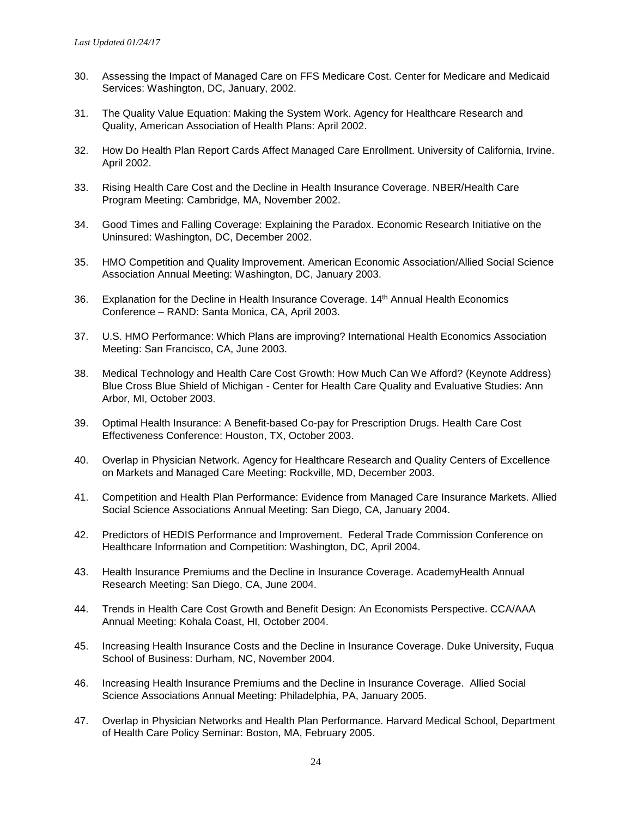- 30. Assessing the Impact of Managed Care on FFS Medicare Cost. Center for Medicare and Medicaid Services: Washington, DC, January, 2002.
- 31. The Quality Value Equation: Making the System Work. Agency for Healthcare Research and Quality, American Association of Health Plans: April 2002.
- 32. How Do Health Plan Report Cards Affect Managed Care Enrollment. University of California, Irvine. April 2002.
- 33. Rising Health Care Cost and the Decline in Health Insurance Coverage. NBER/Health Care Program Meeting: Cambridge, MA, November 2002.
- 34. Good Times and Falling Coverage: Explaining the Paradox. Economic Research Initiative on the Uninsured: Washington, DC, December 2002.
- 35. HMO Competition and Quality Improvement. American Economic Association/Allied Social Science Association Annual Meeting: Washington, DC, January 2003.
- 36. Explanation for the Decline in Health Insurance Coverage. 14th Annual Health Economics Conference – RAND: Santa Monica, CA, April 2003.
- 37. U.S. HMO Performance: Which Plans are improving? International Health Economics Association Meeting: San Francisco, CA, June 2003.
- 38. Medical Technology and Health Care Cost Growth: How Much Can We Afford? (Keynote Address) Blue Cross Blue Shield of Michigan - Center for Health Care Quality and Evaluative Studies: Ann Arbor, MI, October 2003.
- 39. Optimal Health Insurance: A Benefit-based Co-pay for Prescription Drugs. Health Care Cost Effectiveness Conference: Houston, TX, October 2003.
- 40. Overlap in Physician Network. Agency for Healthcare Research and Quality Centers of Excellence on Markets and Managed Care Meeting: Rockville, MD, December 2003.
- 41. Competition and Health Plan Performance: Evidence from Managed Care Insurance Markets. Allied Social Science Associations Annual Meeting: San Diego, CA, January 2004.
- 42. Predictors of HEDIS Performance and Improvement. Federal Trade Commission Conference on Healthcare Information and Competition: Washington, DC, April 2004.
- 43. Health Insurance Premiums and the Decline in Insurance Coverage. AcademyHealth Annual Research Meeting: San Diego, CA, June 2004.
- 44. Trends in Health Care Cost Growth and Benefit Design: An Economists Perspective. CCA/AAA Annual Meeting: Kohala Coast, HI, October 2004.
- 45. Increasing Health Insurance Costs and the Decline in Insurance Coverage. Duke University, Fuqua School of Business: Durham, NC, November 2004.
- 46. Increasing Health Insurance Premiums and the Decline in Insurance Coverage. Allied Social Science Associations Annual Meeting: Philadelphia, PA, January 2005.
- 47. Overlap in Physician Networks and Health Plan Performance. Harvard Medical School, Department of Health Care Policy Seminar: Boston, MA, February 2005.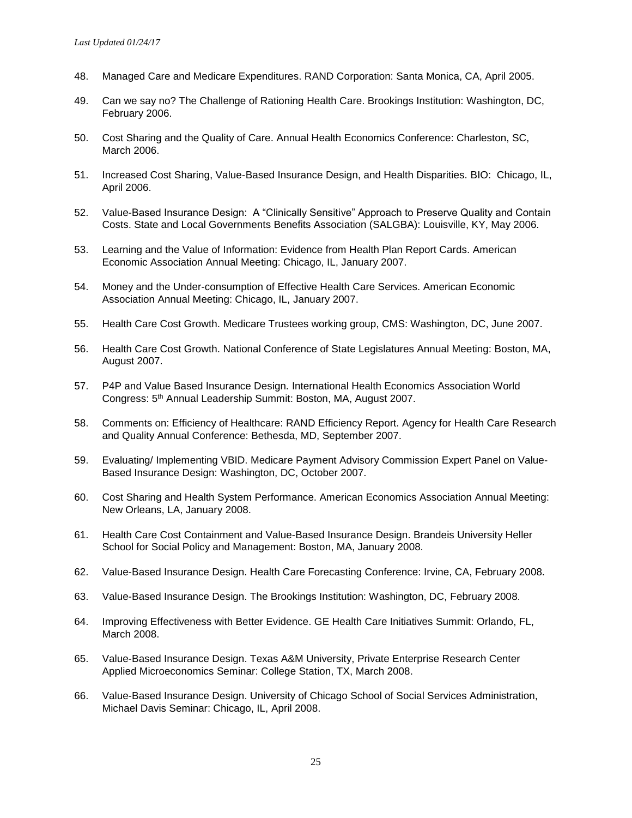- 48. Managed Care and Medicare Expenditures. RAND Corporation: Santa Monica, CA, April 2005.
- 49. Can we say no? The Challenge of Rationing Health Care. Brookings Institution: Washington, DC, February 2006.
- 50. Cost Sharing and the Quality of Care. Annual Health Economics Conference: Charleston, SC, March 2006.
- 51. Increased Cost Sharing, Value-Based Insurance Design, and Health Disparities. BIO: Chicago, IL, April 2006.
- 52. Value-Based Insurance Design: A "Clinically Sensitive" Approach to Preserve Quality and Contain Costs. State and Local Governments Benefits Association (SALGBA): Louisville, KY, May 2006.
- 53. Learning and the Value of Information: Evidence from Health Plan Report Cards. American Economic Association Annual Meeting: Chicago, IL, January 2007.
- 54. Money and the Under-consumption of Effective Health Care Services. American Economic Association Annual Meeting: Chicago, IL, January 2007.
- 55. Health Care Cost Growth. Medicare Trustees working group, CMS: Washington, DC, June 2007.
- 56. Health Care Cost Growth. National Conference of State Legislatures Annual Meeting: Boston, MA, August 2007.
- 57. P4P and Value Based Insurance Design. International Health Economics Association World Congress: 5th Annual Leadership Summit: Boston, MA, August 2007.
- 58. Comments on: Efficiency of Healthcare: RAND Efficiency Report. Agency for Health Care Research and Quality Annual Conference: Bethesda, MD, September 2007.
- 59. Evaluating/ Implementing VBID. Medicare Payment Advisory Commission Expert Panel on Value-Based Insurance Design: Washington, DC, October 2007.
- 60. Cost Sharing and Health System Performance. American Economics Association Annual Meeting: New Orleans, LA, January 2008.
- 61. Health Care Cost Containment and Value-Based Insurance Design. Brandeis University Heller School for Social Policy and Management: Boston, MA, January 2008.
- 62. Value-Based Insurance Design. Health Care Forecasting Conference: Irvine, CA, February 2008.
- 63. Value-Based Insurance Design. The Brookings Institution: Washington, DC, February 2008.
- 64. Improving Effectiveness with Better Evidence. GE Health Care Initiatives Summit: Orlando, FL, March 2008.
- 65. Value-Based Insurance Design. Texas A&M University, Private Enterprise Research Center Applied Microeconomics Seminar: College Station, TX, March 2008.
- 66. Value-Based Insurance Design. University of Chicago School of Social Services Administration, Michael Davis Seminar: Chicago, IL, April 2008.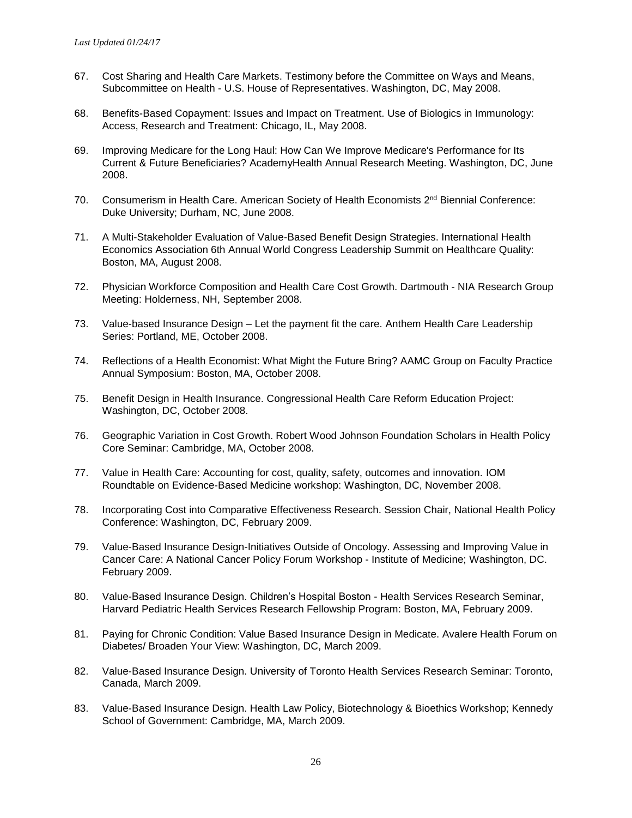- 67. Cost Sharing and Health Care Markets. Testimony before the Committee on Ways and Means, Subcommittee on Health - U.S. House of Representatives. Washington, DC, May 2008.
- 68. Benefits-Based Copayment: Issues and Impact on Treatment. Use of Biologics in Immunology: Access, Research and Treatment: Chicago, IL, May 2008.
- 69. Improving Medicare for the Long Haul: How Can We Improve Medicare's Performance for Its Current & Future Beneficiaries? AcademyHealth Annual Research Meeting. Washington, DC, June 2008.
- 70. Consumerism in Health Care. American Society of Health Economists 2<sup>nd</sup> Biennial Conference: Duke University; Durham, NC, June 2008.
- 71. A Multi-Stakeholder Evaluation of Value-Based Benefit Design Strategies. International Health Economics Association 6th Annual World Congress Leadership Summit on Healthcare Quality: Boston, MA, August 2008.
- 72. Physician Workforce Composition and Health Care Cost Growth. Dartmouth NIA Research Group Meeting: Holderness, NH, September 2008.
- 73. Value-based Insurance Design Let the payment fit the care. Anthem Health Care Leadership Series: Portland, ME, October 2008.
- 74. Reflections of a Health Economist: What Might the Future Bring? AAMC Group on Faculty Practice Annual Symposium: Boston, MA, October 2008.
- 75. Benefit Design in Health Insurance. Congressional Health Care Reform Education Project: Washington, DC, October 2008.
- 76. Geographic Variation in Cost Growth. Robert Wood Johnson Foundation Scholars in Health Policy Core Seminar: Cambridge, MA, October 2008.
- 77. Value in Health Care: Accounting for cost, quality, safety, outcomes and innovation. IOM Roundtable on Evidence-Based Medicine workshop: Washington, DC, November 2008.
- 78. Incorporating Cost into Comparative Effectiveness Research. Session Chair, National Health Policy Conference: Washington, DC, February 2009.
- 79. Value-Based Insurance Design-Initiatives Outside of Oncology. Assessing and Improving Value in Cancer Care: A National Cancer Policy Forum Workshop - Institute of Medicine; Washington, DC. February 2009.
- 80. Value-Based Insurance Design. Children's Hospital Boston Health Services Research Seminar, Harvard Pediatric Health Services Research Fellowship Program: Boston, MA, February 2009.
- 81. Paying for Chronic Condition: Value Based Insurance Design in Medicate. Avalere Health Forum on Diabetes/ Broaden Your View: Washington, DC, March 2009.
- 82. Value-Based Insurance Design. University of Toronto Health Services Research Seminar: Toronto, Canada, March 2009.
- 83. Value-Based Insurance Design. Health Law Policy, Biotechnology & Bioethics Workshop; Kennedy School of Government: Cambridge, MA, March 2009.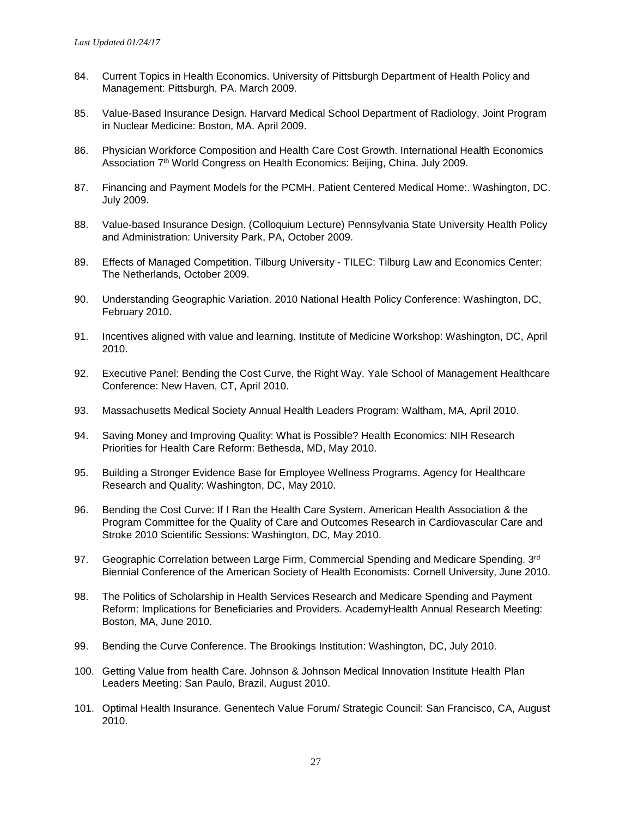- 84. Current Topics in Health Economics. University of Pittsburgh Department of Health Policy and Management: Pittsburgh, PA. March 2009.
- 85. Value-Based Insurance Design. Harvard Medical School Department of Radiology, Joint Program in Nuclear Medicine: Boston, MA. April 2009.
- 86. Physician Workforce Composition and Health Care Cost Growth. International Health Economics Association 7<sup>th</sup> World Congress on Health Economics: Beijing, China. July 2009.
- 87. Financing and Payment Models for the PCMH. Patient Centered Medical Home:. Washington, DC. July 2009.
- 88. Value-based Insurance Design. (Colloquium Lecture) Pennsylvania State University Health Policy and Administration: University Park, PA, October 2009.
- 89. Effects of Managed Competition. Tilburg University TILEC: Tilburg Law and Economics Center: The Netherlands, October 2009.
- 90. Understanding Geographic Variation. 2010 National Health Policy Conference: Washington, DC, February 2010.
- 91. Incentives aligned with value and learning. Institute of Medicine Workshop: Washington, DC, April 2010.
- 92. Executive Panel: Bending the Cost Curve, the Right Way. Yale School of Management Healthcare Conference: New Haven, CT, April 2010.
- 93. Massachusetts Medical Society Annual Health Leaders Program: Waltham, MA, April 2010.
- 94. Saving Money and Improving Quality: What is Possible? Health Economics: NIH Research Priorities for Health Care Reform: Bethesda, MD, May 2010.
- 95. Building a Stronger Evidence Base for Employee Wellness Programs. Agency for Healthcare Research and Quality: Washington, DC, May 2010.
- 96. Bending the Cost Curve: If I Ran the Health Care System. American Health Association & the Program Committee for the Quality of Care and Outcomes Research in Cardiovascular Care and Stroke 2010 Scientific Sessions: Washington, DC, May 2010.
- 97. Geographic Correlation between Large Firm, Commercial Spending and Medicare Spending.  $3^{rd}$ Biennial Conference of the American Society of Health Economists: Cornell University, June 2010.
- 98. The Politics of Scholarship in Health Services Research and Medicare Spending and Payment Reform: Implications for Beneficiaries and Providers. AcademyHealth Annual Research Meeting: Boston, MA, June 2010.
- 99. Bending the Curve Conference. The Brookings Institution: Washington, DC, July 2010.
- 100. Getting Value from health Care. Johnson & Johnson Medical Innovation Institute Health Plan Leaders Meeting: San Paulo, Brazil, August 2010.
- 101. Optimal Health Insurance. Genentech Value Forum/ Strategic Council: San Francisco, CA, August 2010.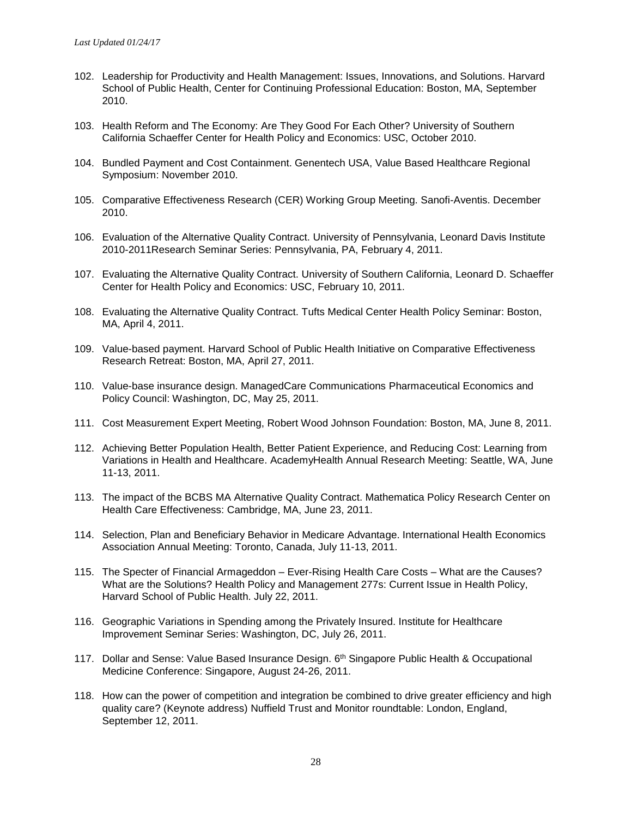- 102. Leadership for Productivity and Health Management: Issues, Innovations, and Solutions. Harvard School of Public Health, Center for Continuing Professional Education: Boston, MA, September 2010.
- 103. Health Reform and The Economy: Are They Good For Each Other? University of Southern California Schaeffer Center for Health Policy and Economics: USC, October 2010.
- 104. Bundled Payment and Cost Containment. Genentech USA, Value Based Healthcare Regional Symposium: November 2010.
- 105. Comparative Effectiveness Research (CER) Working Group Meeting. Sanofi-Aventis. December 2010.
- 106. Evaluation of the Alternative Quality Contract. University of Pennsylvania, Leonard Davis Institute 2010-2011Research Seminar Series: Pennsylvania, PA, February 4, 2011.
- 107. Evaluating the Alternative Quality Contract. University of Southern California, Leonard D. Schaeffer Center for Health Policy and Economics: USC, February 10, 2011.
- 108. Evaluating the Alternative Quality Contract. Tufts Medical Center Health Policy Seminar: Boston, MA, April 4, 2011.
- 109. Value-based payment. Harvard School of Public Health Initiative on Comparative Effectiveness Research Retreat: Boston, MA, April 27, 2011.
- 110. Value-base insurance design. ManagedCare Communications Pharmaceutical Economics and Policy Council: Washington, DC, May 25, 2011.
- 111. Cost Measurement Expert Meeting, Robert Wood Johnson Foundation: Boston, MA, June 8, 2011.
- 112. Achieving Better Population Health, Better Patient Experience, and Reducing Cost: Learning from Variations in Health and Healthcare. AcademyHealth Annual Research Meeting: Seattle, WA, June 11-13, 2011.
- 113. The impact of the BCBS MA Alternative Quality Contract. Mathematica Policy Research Center on Health Care Effectiveness: Cambridge, MA, June 23, 2011.
- 114. Selection, Plan and Beneficiary Behavior in Medicare Advantage. International Health Economics Association Annual Meeting: Toronto, Canada, July 11-13, 2011.
- 115. The Specter of Financial Armageddon Ever-Rising Health Care Costs What are the Causes? What are the Solutions? Health Policy and Management 277s: Current Issue in Health Policy, Harvard School of Public Health. July 22, 2011.
- 116. Geographic Variations in Spending among the Privately Insured. Institute for Healthcare Improvement Seminar Series: Washington, DC, July 26, 2011.
- 117. Dollar and Sense: Value Based Insurance Design. 6<sup>th</sup> Singapore Public Health & Occupational Medicine Conference: Singapore, August 24-26, 2011.
- 118. How can the power of competition and integration be combined to drive greater efficiency and high quality care? (Keynote address) Nuffield Trust and Monitor roundtable: London, England, September 12, 2011.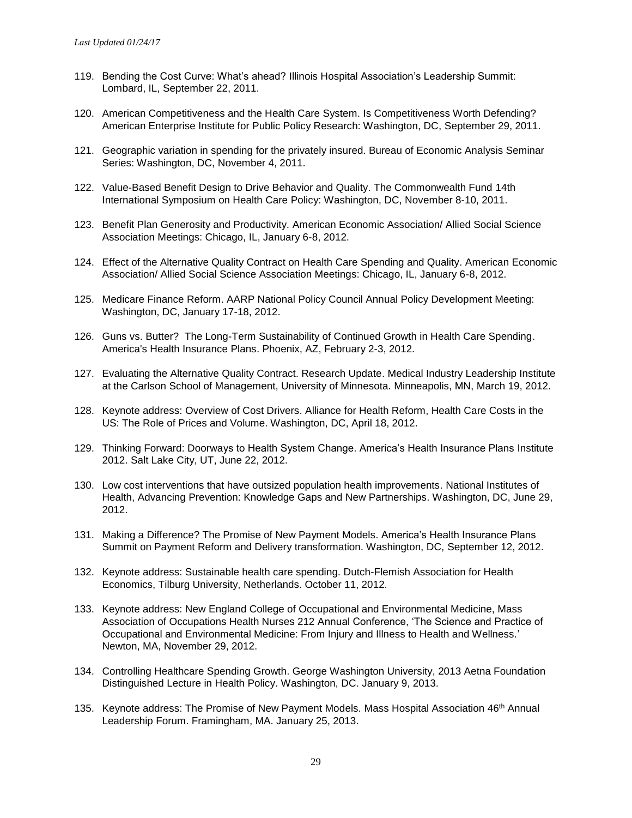- 119. Bending the Cost Curve: What's ahead? Illinois Hospital Association's Leadership Summit: Lombard, IL, September 22, 2011.
- 120. American Competitiveness and the Health Care System. Is Competitiveness Worth Defending? American Enterprise Institute for Public Policy Research: Washington, DC, September 29, 2011.
- 121. Geographic variation in spending for the privately insured. Bureau of Economic Analysis Seminar Series: Washington, DC, November 4, 2011.
- 122. Value-Based Benefit Design to Drive Behavior and Quality. The Commonwealth Fund 14th International Symposium on Health Care Policy: Washington, DC, November 8-10, 2011.
- 123. Benefit Plan Generosity and Productivity. American Economic Association/ Allied Social Science Association Meetings: Chicago, IL, January 6-8, 2012.
- 124. Effect of the Alternative Quality Contract on Health Care Spending and Quality. American Economic Association/ Allied Social Science Association Meetings: Chicago, IL, January 6-8, 2012.
- 125. Medicare Finance Reform. AARP National Policy Council Annual Policy Development Meeting: Washington, DC, January 17-18, 2012.
- 126. Guns vs. Butter? The Long-Term Sustainability of Continued Growth in Health Care Spending. America's Health Insurance Plans. Phoenix, AZ, February 2-3, 2012.
- 127. Evaluating the Alternative Quality Contract. Research Update. Medical Industry Leadership Institute at the Carlson School of Management, University of Minnesota. Minneapolis, MN, March 19, 2012.
- 128. Keynote address: Overview of Cost Drivers. Alliance for Health Reform, Health Care Costs in the US: The Role of Prices and Volume. Washington, DC, April 18, 2012.
- 129. Thinking Forward: Doorways to Health System Change. America's Health Insurance Plans Institute 2012. Salt Lake City, UT, June 22, 2012.
- 130. Low cost interventions that have outsized population health improvements. National Institutes of Health, Advancing Prevention: Knowledge Gaps and New Partnerships. Washington, DC, June 29, 2012.
- 131. Making a Difference? The Promise of New Payment Models. America's Health Insurance Plans Summit on Payment Reform and Delivery transformation. Washington, DC, September 12, 2012.
- 132. Keynote address: Sustainable health care spending. Dutch-Flemish Association for Health Economics, Tilburg University, Netherlands. October 11, 2012.
- 133. Keynote address: New England College of Occupational and Environmental Medicine, Mass Association of Occupations Health Nurses 212 Annual Conference, 'The Science and Practice of Occupational and Environmental Medicine: From Injury and Illness to Health and Wellness.' Newton, MA, November 29, 2012.
- 134. Controlling Healthcare Spending Growth. George Washington University, 2013 Aetna Foundation Distinguished Lecture in Health Policy. Washington, DC. January 9, 2013.
- 135. Keynote address: The Promise of New Payment Models. Mass Hospital Association 46<sup>th</sup> Annual Leadership Forum. Framingham, MA. January 25, 2013.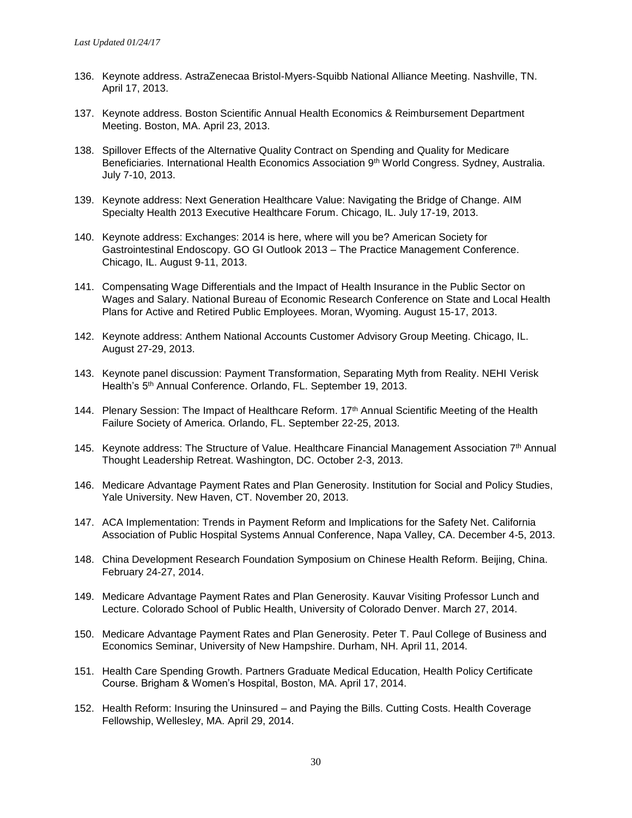- 136. Keynote address. AstraZenecaa Bristol-Myers-Squibb National Alliance Meeting. Nashville, TN. April 17, 2013.
- 137. Keynote address. Boston Scientific Annual Health Economics & Reimbursement Department Meeting. Boston, MA. April 23, 2013.
- 138. Spillover Effects of the Alternative Quality Contract on Spending and Quality for Medicare Beneficiaries. International Health Economics Association 9<sup>th</sup> World Congress. Sydney, Australia. July 7-10, 2013.
- 139. Keynote address: Next Generation Healthcare Value: Navigating the Bridge of Change. AIM Specialty Health 2013 Executive Healthcare Forum. Chicago, IL. July 17-19, 2013.
- 140. Keynote address: Exchanges: 2014 is here, where will you be? American Society for Gastrointestinal Endoscopy. GO GI Outlook 2013 – The Practice Management Conference. Chicago, IL. August 9-11, 2013.
- 141. Compensating Wage Differentials and the Impact of Health Insurance in the Public Sector on Wages and Salary. National Bureau of Economic Research Conference on State and Local Health Plans for Active and Retired Public Employees. Moran, Wyoming. August 15-17, 2013.
- 142. Keynote address: Anthem National Accounts Customer Advisory Group Meeting. Chicago, IL. August 27-29, 2013.
- 143. Keynote panel discussion: Payment Transformation, Separating Myth from Reality. NEHI Verisk Health's 5<sup>th</sup> Annual Conference. Orlando, FL. September 19, 2013.
- 144. Plenary Session: The Impact of Healthcare Reform. 17<sup>th</sup> Annual Scientific Meeting of the Health Failure Society of America. Orlando, FL. September 22-25, 2013.
- 145. Keynote address: The Structure of Value. Healthcare Financial Management Association 7<sup>th</sup> Annual Thought Leadership Retreat. Washington, DC. October 2-3, 2013.
- 146. Medicare Advantage Payment Rates and Plan Generosity. Institution for Social and Policy Studies, Yale University. New Haven, CT. November 20, 2013.
- 147. ACA Implementation: Trends in Payment Reform and Implications for the Safety Net. California Association of Public Hospital Systems Annual Conference, Napa Valley, CA. December 4-5, 2013.
- 148. China Development Research Foundation Symposium on Chinese Health Reform. Beijing, China. February 24-27, 2014.
- 149. Medicare Advantage Payment Rates and Plan Generosity. Kauvar Visiting Professor Lunch and Lecture. Colorado School of Public Health, University of Colorado Denver. March 27, 2014.
- 150. Medicare Advantage Payment Rates and Plan Generosity. Peter T. Paul College of Business and Economics Seminar, University of New Hampshire. Durham, NH. April 11, 2014.
- 151. Health Care Spending Growth. Partners Graduate Medical Education, Health Policy Certificate Course. Brigham & Women's Hospital, Boston, MA. April 17, 2014.
- 152. Health Reform: Insuring the Uninsured and Paying the Bills. Cutting Costs. Health Coverage Fellowship, Wellesley, MA. April 29, 2014.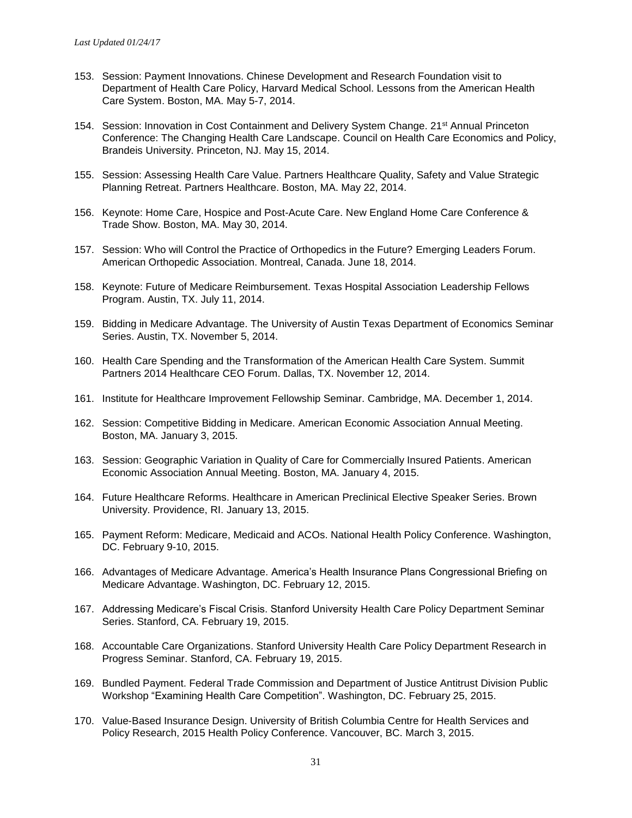- 153. Session: Payment Innovations. Chinese Development and Research Foundation visit to Department of Health Care Policy, Harvard Medical School. Lessons from the American Health Care System. Boston, MA. May 5-7, 2014.
- 154. Session: Innovation in Cost Containment and Delivery System Change. 21st Annual Princeton Conference: The Changing Health Care Landscape. Council on Health Care Economics and Policy, Brandeis University. Princeton, NJ. May 15, 2014.
- 155. Session: Assessing Health Care Value. Partners Healthcare Quality, Safety and Value Strategic Planning Retreat. Partners Healthcare. Boston, MA. May 22, 2014.
- 156. Keynote: Home Care, Hospice and Post-Acute Care. New England Home Care Conference & Trade Show. Boston, MA. May 30, 2014.
- 157. Session: Who will Control the Practice of Orthopedics in the Future? Emerging Leaders Forum. American Orthopedic Association. Montreal, Canada. June 18, 2014.
- 158. Keynote: Future of Medicare Reimbursement. Texas Hospital Association Leadership Fellows Program. Austin, TX. July 11, 2014.
- 159. Bidding in Medicare Advantage. The University of Austin Texas Department of Economics Seminar Series. Austin, TX. November 5, 2014.
- 160. Health Care Spending and the Transformation of the American Health Care System. Summit Partners 2014 Healthcare CEO Forum. Dallas, TX. November 12, 2014.
- 161. Institute for Healthcare Improvement Fellowship Seminar. Cambridge, MA. December 1, 2014.
- 162. Session: Competitive Bidding in Medicare. American Economic Association Annual Meeting. Boston, MA. January 3, 2015.
- 163. Session: Geographic Variation in Quality of Care for Commercially Insured Patients. American Economic Association Annual Meeting. Boston, MA. January 4, 2015.
- 164. Future Healthcare Reforms. Healthcare in American Preclinical Elective Speaker Series. Brown University. Providence, RI. January 13, 2015.
- 165. Payment Reform: Medicare, Medicaid and ACOs. National Health Policy Conference. Washington, DC. February 9-10, 2015.
- 166. Advantages of Medicare Advantage. America's Health Insurance Plans Congressional Briefing on Medicare Advantage. Washington, DC. February 12, 2015.
- 167. Addressing Medicare's Fiscal Crisis. Stanford University Health Care Policy Department Seminar Series. Stanford, CA. February 19, 2015.
- 168. Accountable Care Organizations. Stanford University Health Care Policy Department Research in Progress Seminar. Stanford, CA. February 19, 2015.
- 169. Bundled Payment. Federal Trade Commission and Department of Justice Antitrust Division Public Workshop "Examining Health Care Competition". Washington, DC. February 25, 2015.
- 170. Value-Based Insurance Design. University of British Columbia Centre for Health Services and Policy Research, 2015 Health Policy Conference. Vancouver, BC. March 3, 2015.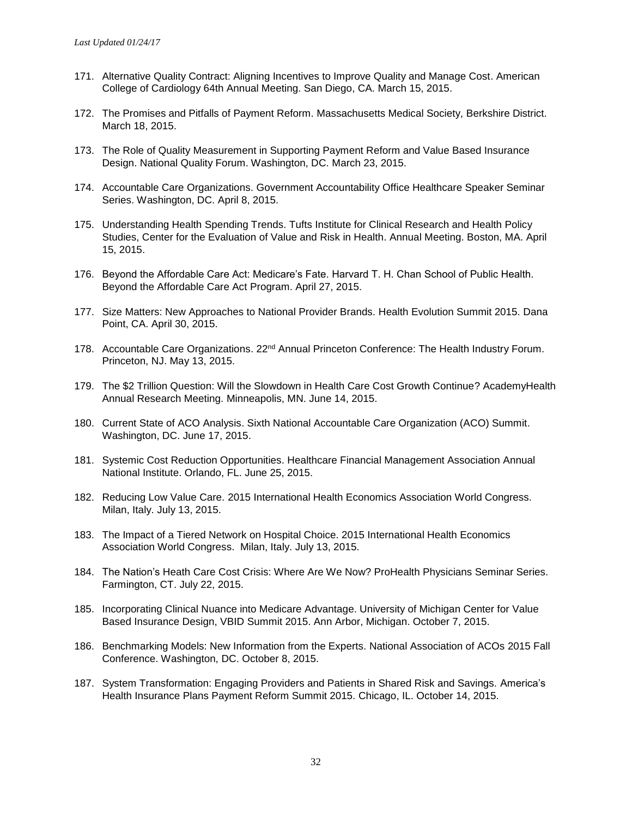- 171. Alternative Quality Contract: Aligning Incentives to Improve Quality and Manage Cost. American College of Cardiology 64th Annual Meeting. San Diego, CA. March 15, 2015.
- 172. The Promises and Pitfalls of Payment Reform. Massachusetts Medical Society, Berkshire District. March 18, 2015.
- 173. The Role of Quality Measurement in Supporting Payment Reform and Value Based Insurance Design. National Quality Forum. Washington, DC. March 23, 2015.
- 174. Accountable Care Organizations. Government Accountability Office Healthcare Speaker Seminar Series. Washington, DC. April 8, 2015.
- 175. Understanding Health Spending Trends. Tufts Institute for Clinical Research and Health Policy Studies, Center for the Evaluation of Value and Risk in Health. Annual Meeting. Boston, MA. April 15, 2015.
- 176. Beyond the Affordable Care Act: Medicare's Fate. Harvard T. H. Chan School of Public Health. Beyond the Affordable Care Act Program. April 27, 2015.
- 177. Size Matters: New Approaches to National Provider Brands. Health Evolution Summit 2015. Dana Point, CA. April 30, 2015.
- 178. Accountable Care Organizations. 22<sup>nd</sup> Annual Princeton Conference: The Health Industry Forum. Princeton, NJ. May 13, 2015.
- 179. The \$2 Trillion Question: Will the Slowdown in Health Care Cost Growth Continue? AcademyHealth Annual Research Meeting. Minneapolis, MN. June 14, 2015.
- 180. Current State of ACO Analysis. Sixth National Accountable Care Organization (ACO) Summit. Washington, DC. June 17, 2015.
- 181. Systemic Cost Reduction Opportunities. Healthcare Financial Management Association Annual National Institute. Orlando, FL. June 25, 2015.
- 182. Reducing Low Value Care. 2015 International Health Economics Association World Congress. Milan, Italy. July 13, 2015.
- 183. The Impact of a Tiered Network on Hospital Choice. 2015 International Health Economics Association World Congress. Milan, Italy. July 13, 2015.
- 184. The Nation's Heath Care Cost Crisis: Where Are We Now? ProHealth Physicians Seminar Series. Farmington, CT. July 22, 2015.
- 185. Incorporating Clinical Nuance into Medicare Advantage. University of Michigan Center for Value Based Insurance Design, VBID Summit 2015. Ann Arbor, Michigan. October 7, 2015.
- 186. Benchmarking Models: New Information from the Experts. National Association of ACOs 2015 Fall Conference. Washington, DC. October 8, 2015.
- 187. System Transformation: Engaging Providers and Patients in Shared Risk and Savings. America's Health Insurance Plans Payment Reform Summit 2015. Chicago, IL. October 14, 2015.